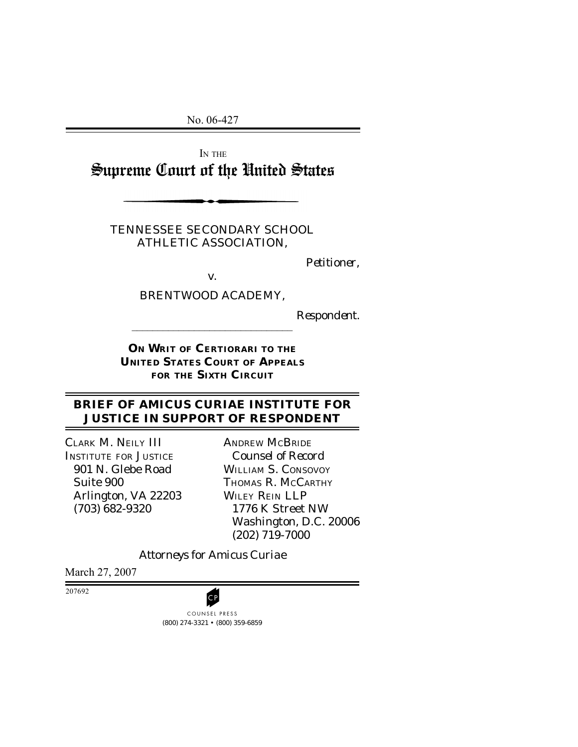No. 06-427

IN THE Supreme Court of the United States

TENNESSEE SECONDARY SCHOOL ATHLETIC ASSOCIATION,

*Petitioner*,

BRENTWOOD ACADEMY,

*v.*

 $\mathcal{L}_\text{max}$ 

*Respondent.*

**ON WRIT OF CERTIORARI TO THE UNITED STATES COURT OF APPEALS FOR THE SIXTH CIRCUIT**

### **BRIEF OF AMICUS CURIAE INSTITUTE FOR JUSTICE IN SUPPORT OF RESPONDENT**

CLARK M. NEILY III INSTITUTE FOR JUSTICE 901 N. Glebe Road Suite 900 Arlington, VA 22203 (703) 682-9320

ANDREW MCBRIDE *Counsel of Record* WILLIAM S. CONSOVOY THOMAS R. MCCARTHY WILEY REIN LLP 1776 K Street NW Washington, D.C. 20006 (202) 719-7000

*Attorneys for Amicus Curiae*

March 27, 2007

207692



(800) 274-3321 • (800) 359-6859 COUNSEL PRESS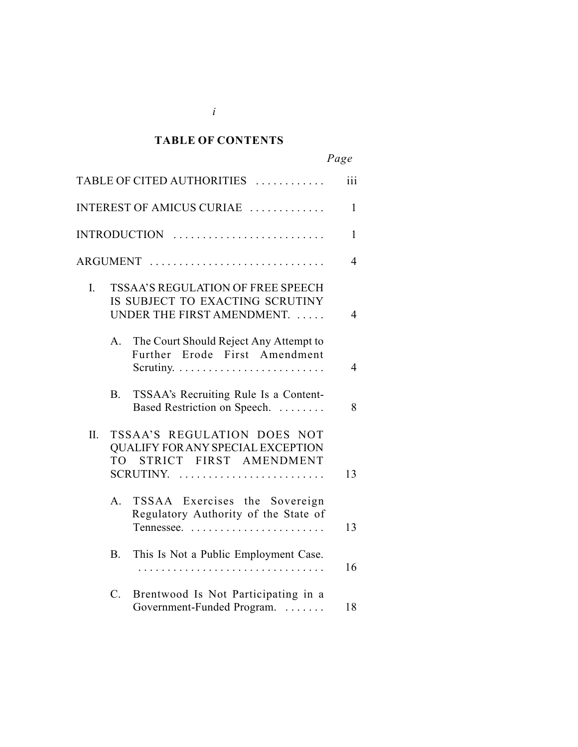#### *Cited Authorities* **TABLE OF CONTENTS**

*i*

|     |             |                                                                                                         | Page           |
|-----|-------------|---------------------------------------------------------------------------------------------------------|----------------|
|     |             | TABLE OF CITED AUTHORITIES                                                                              | iii            |
|     |             | INTEREST OF AMICUS CURIAE                                                                               | $\mathbf{1}$   |
|     |             |                                                                                                         | 1              |
|     |             | ARGUMENT                                                                                                | $\overline{4}$ |
| I.  |             | TSSAA'S REGULATION OF FREE SPEECH<br>IS SUBJECT TO EXACTING SCRUTINY<br>UNDER THE FIRST AMENDMENT.      | $\overline{4}$ |
|     | A.          | The Court Should Reject Any Attempt to<br>Further Erode First Amendment                                 | $\overline{4}$ |
|     | <b>B.</b>   | TSSAA's Recruiting Rule Is a Content-<br>Based Restriction on Speech.                                   | 8              |
| II. | <b>TO</b>   | TSSAA'S REGULATION DOES NOT<br>QUALIFY FOR ANY SPECIAL EXCEPTION<br>STRICT FIRST AMENDMENT<br>SCRUTINY. | 13             |
|     | A.          | TSSAA Exercises the Sovereign<br>Regulatory Authority of the State of                                   | 13             |
|     | $B_{\cdot}$ | This Is Not a Public Employment Case.                                                                   | 16             |
|     | $C_{\cdot}$ | Brentwood Is Not Participating in a<br>Government-Funded Program.                                       | 18             |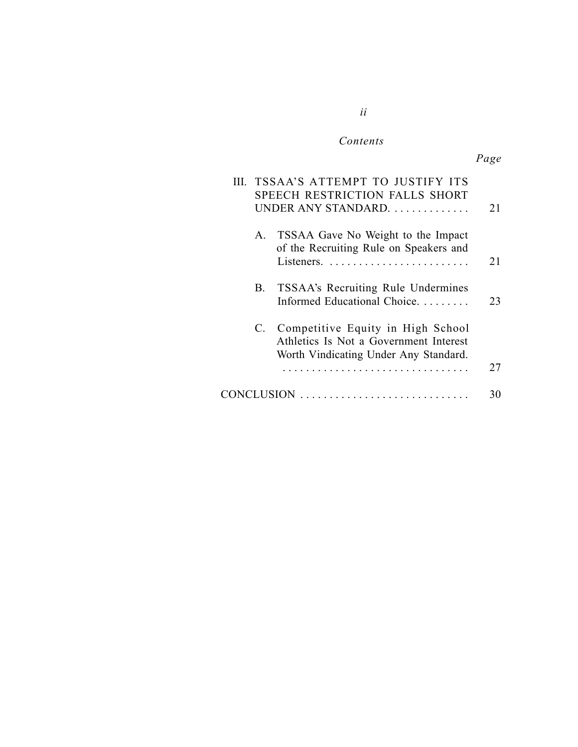#### $Contents$

*ii*

|         | TSSAA'S ATTEMPT TO JUSTIFY ITS<br>SPEECH RESTRICTION FALLS SHORT<br>UNDER ANY STANDARD                                  | 21 |
|---------|-------------------------------------------------------------------------------------------------------------------------|----|
| $A_{-}$ | TSSAA Gave No Weight to the Impact<br>of the Recruiting Rule on Speakers and                                            | 21 |
| В.      | TSSAA's Recruiting Rule Undermines<br>Informed Educational Choice.                                                      | 23 |
|         | C. Competitive Equity in High School<br>Athletics Is Not a Government Interest<br>Worth Vindicating Under Any Standard. | 27 |
|         |                                                                                                                         |    |
|         |                                                                                                                         | 30 |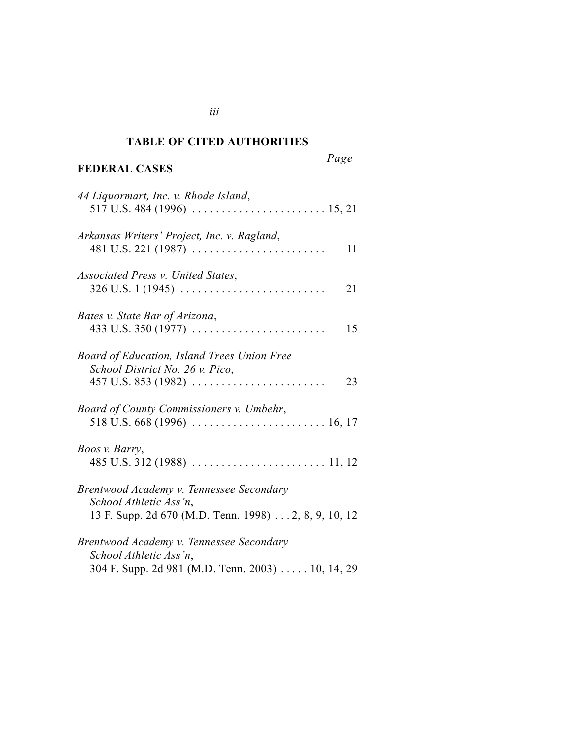#### *Cited Authorities* **TABLE OF CITED AUTHORITIES**

### **FEDERAL CASES**

*Page*

| 44 Liquormart, Inc. v. Rhode Island,                                                                                                       |
|--------------------------------------------------------------------------------------------------------------------------------------------|
| Arkansas Writers' Project, Inc. v. Ragland,<br>11                                                                                          |
| Associated Press v. United States,<br>$326 \text{ U.S. } 1 (1945) \ldots \ldots \ldots \ldots \ldots \ldots$<br>21                         |
| Bates v. State Bar of Arizona,<br>$433 \text{ U.S. } 350 \text{ (1977)} \dots \dots \dots \dots \dots \dots \dots \dots \dots \dots$<br>15 |
| Board of Education, Island Trees Union Free<br>School District No. 26 v. Pico,<br>23                                                       |
| Board of County Commissioners v. Umbehr,                                                                                                   |
| Boos v. Barry,                                                                                                                             |
| Brentwood Academy v. Tennessee Secondary<br>School Athletic Ass'n,<br>13 F. Supp. 2d 670 (M.D. Tenn. 1998) 2, 8, 9, 10, 12                 |
| Brentwood Academy v. Tennessee Secondary<br>School Athletic Ass'n,<br>304 F. Supp. 2d 981 (M.D. Tenn. 2003) 10, 14, 29                     |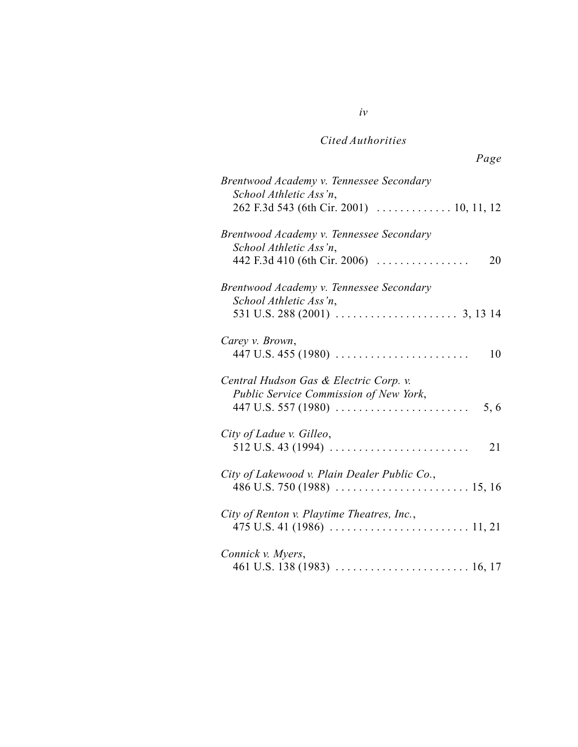*iv*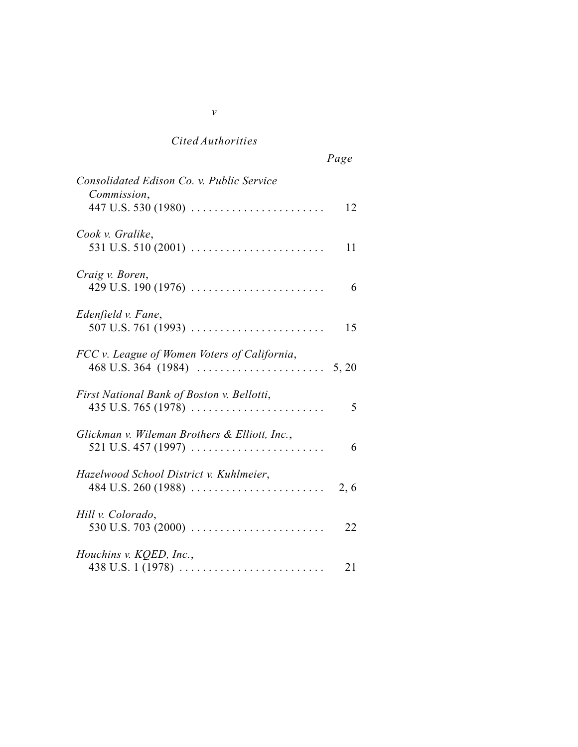| Consolidated Edison Co. v. Public Service                                                       |       |
|-------------------------------------------------------------------------------------------------|-------|
| Commission,                                                                                     | 12    |
| Cook v. Gralike,<br>531 U.S. 510 (2001) $\ldots \ldots \ldots \ldots \ldots \ldots$             | 11    |
| Craig v. Boren,<br>429 U.S. 190 (1976)                                                          | 6     |
| Edenfield v. Fane,<br>507 U.S. 761 (1993) $\ldots \ldots \ldots \ldots \ldots \ldots$           | 15    |
| FCC v. League of Women Voters of California,                                                    | 5, 20 |
| First National Bank of Boston v. Bellotti,                                                      | 5     |
| Glickman v. Wileman Brothers & Elliott, Inc.,                                                   | 6     |
| Hazelwood School District v. Kuhlmeier,                                                         | 2, 6  |
| Hill v. Colorado,<br>530 U.S. 703 (2000) $\ldots \ldots \ldots \ldots \ldots \ldots$            | 22    |
| Houchins v. KQED, Inc.,<br>438 U.S. 1 (1978) $\ldots \ldots \ldots \ldots \ldots \ldots \ldots$ | 21    |

*v*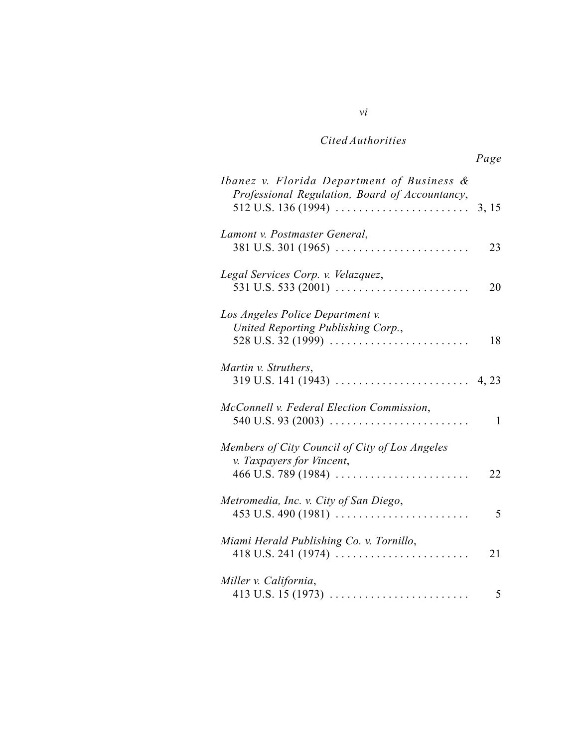*vi*

| Ibanez v. Florida Department of Business &<br>Professional Regulation, Board of Accountancy,                                                    |       |
|-------------------------------------------------------------------------------------------------------------------------------------------------|-------|
| $512$ U.S. $136$ (1994)                                                                                                                         | 3, 15 |
| Lamont v. Postmaster General,<br>$381$ U.S. $301$ (1965)                                                                                        | 23    |
| Legal Services Corp. v. Velazquez,                                                                                                              | 20    |
| Los Angeles Police Department v.<br>United Reporting Publishing Corp.,<br>528 U.S. 32 (1999) $\ldots \ldots \ldots \ldots \ldots \ldots \ldots$ | 18    |
| Martin v. Struthers,<br>319 U.S. 141 (1943)                                                                                                     | 4, 23 |
| McConnell v. Federal Election Commission,<br>540 U.S. 93 (2003) $\ldots \ldots \ldots \ldots \ldots \ldots \ldots$                              | 1     |
| Members of City Council of City of Los Angeles<br>v. Taxpayers for Vincent,<br>$466$ U.S. 789 (1984)                                            | 22    |
| Metromedia, Inc. v. City of San Diego,<br>$453$ U.S. $490$ (1981)                                                                               | 5     |
| Miami Herald Publishing Co. v. Tornillo,                                                                                                        | 21    |
| Miller v. California,                                                                                                                           | 5     |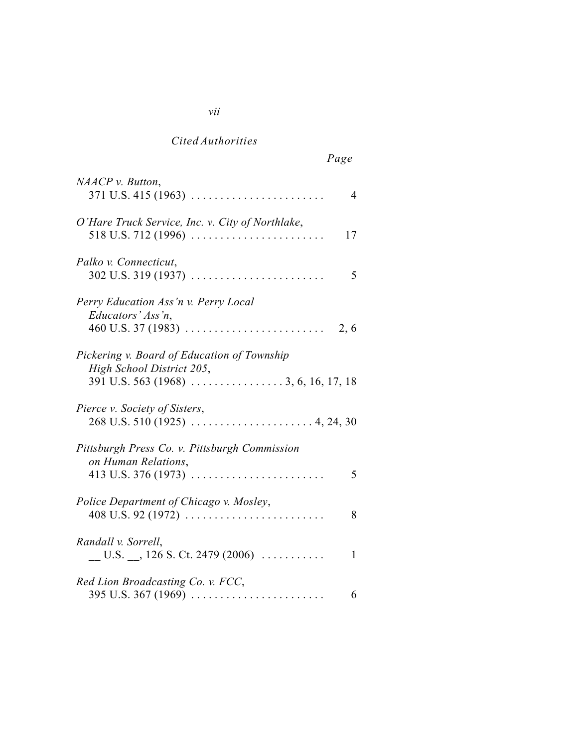# *vii*

## *Cited Authorities*

| $NAACP$ v. Button,<br>$371$ U.S. 415 (1963)<br>4                                                                          |
|---------------------------------------------------------------------------------------------------------------------------|
| O'Hare Truck Service, Inc. v. City of Northlake,<br>518 U.S. 712 (1996) $\ldots \ldots \ldots \ldots \ldots \ldots$<br>17 |
| Palko v. Connecticut,<br>302 U.S. 319 (1937)<br>5                                                                         |
| Perry Education Ass'n v. Perry Local<br>Educators' Ass'n,<br>2, 6                                                         |
| Pickering v. Board of Education of Township<br>High School District 205,<br>$391$ U.S. 563 (1968) 3, 6, 16, 17, 18        |
| Pierce v. Society of Sisters,                                                                                             |
| Pittsburgh Press Co. v. Pittsburgh Commission<br>on Human Relations,<br>413 U.S. 376 (1973)<br>5                          |
| Police Department of Chicago v. Mosley,<br>408 U.S. 92 (1972) $\ldots \ldots \ldots \ldots \ldots \ldots \ldots$<br>8     |
| Randall v. Sorrell,<br>$\underline{\hspace{1cm}}$ U.S. $\underline{\hspace{1cm}}$ , 126 S. Ct. 2479 (2006)<br>1           |
| Red Lion Broadcasting Co. v. FCC,<br>6                                                                                    |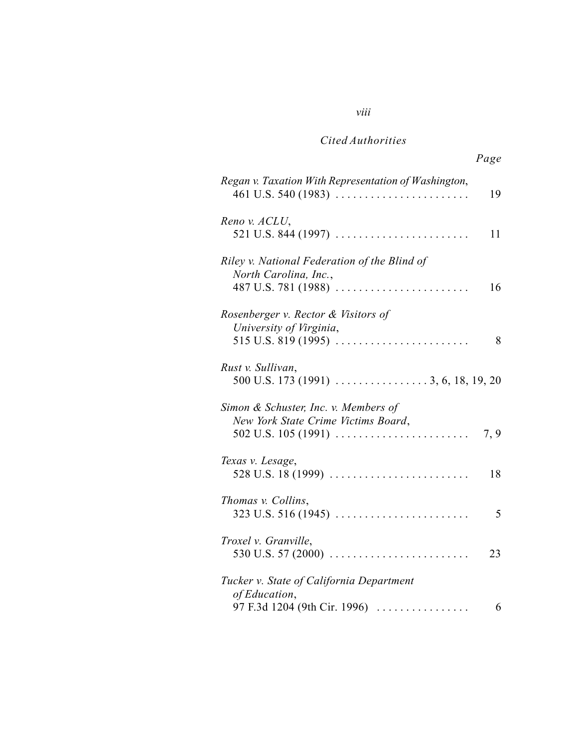### *viii*

### *Cited Authorities*

| Regan v. Taxation With Representation of Washington,<br>$461$ U.S. 540 (1983)                | 19   |
|----------------------------------------------------------------------------------------------|------|
| Reno v. ACLU,                                                                                | 11   |
| Riley v. National Federation of the Blind of<br>North Carolina, Inc.,<br>487 U.S. 781 (1988) | 16   |
| Rosenberger v. Rector & Visitors of<br>University of Virginia,<br>$515$ U.S. $819$ (1995)    | 8    |
| Rust v. Sullivan,                                                                            |      |
| Simon & Schuster, Inc. v. Members of<br>New York State Crime Victims Board,                  | 7, 9 |
| Texas v. Lesage,<br>528 U.S. 18 (1999)                                                       | 18   |
| Thomas v. Collins,                                                                           | 5    |
| Troxel v. Granville,<br>530 U.S. 57 (2000) $\ldots \ldots \ldots \ldots \ldots \ldots$       | 23   |
| Tucker v. State of California Department<br>of Education,<br>97 F.3d 1204 (9th Cir. 1996)    | 6    |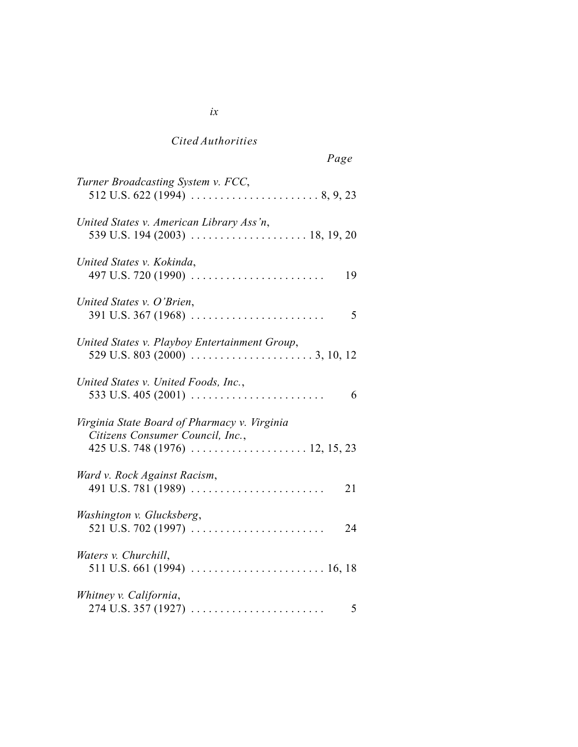| Turner Broadcasting System v. FCC,                                                                                                |
|-----------------------------------------------------------------------------------------------------------------------------------|
| United States v. American Library Ass'n,                                                                                          |
| United States v. Kokinda,<br>497 U.S. 720 (1990) $\ldots \ldots \ldots \ldots \ldots \ldots$<br>19                                |
| United States v. O'Brien,<br>5                                                                                                    |
| United States v. Playboy Entertainment Group,<br>529 U.S. 803 (2000) $\ldots \ldots \ldots \ldots \ldots \ldots \ldots$ 3, 10, 12 |
| United States v. United Foods, Inc.,<br>6                                                                                         |
| Virginia State Board of Pharmacy v. Virginia<br>Citizens Consumer Council, Inc.,                                                  |
| Ward v. Rock Against Racism,<br>21                                                                                                |
| Washington v. Glucksberg,<br>24                                                                                                   |
| Waters v. Churchill,                                                                                                              |
| Whitney v. California,<br>5                                                                                                       |

*ix*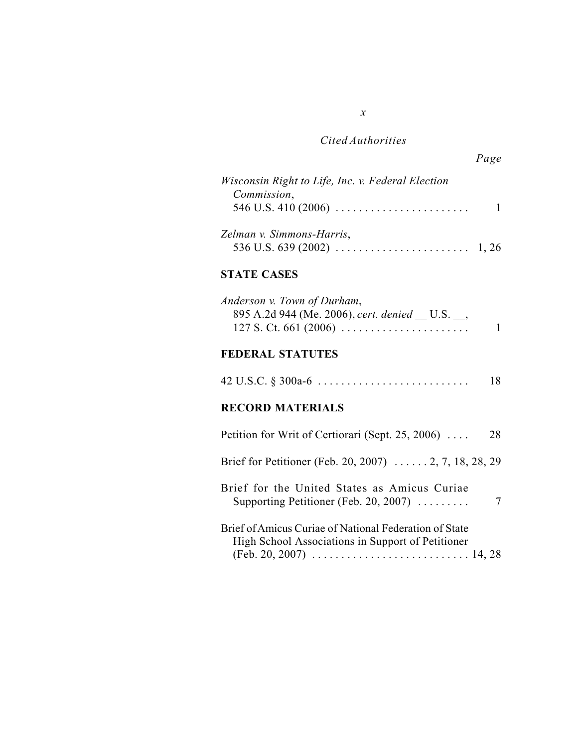*x*

| Wisconsin Right to Life, Inc. v. Federal Election               |  |
|-----------------------------------------------------------------|--|
| Commission,                                                     |  |
| 546 U.S. 410 (2006) $\ldots \ldots \ldots \ldots \ldots \ldots$ |  |
| Zelman v. Simmons-Harris,                                       |  |
|                                                                 |  |

### **STATE CASES**

| Anderson v. Town of Durham,                 |  |
|---------------------------------------------|--|
| 895 A.2d 944 (Me. 2006), cert. denied U.S., |  |
|                                             |  |

## **FEDERAL STATUTES**

|--|--|--|

## **RECORD MATERIALS**

| Petition for Writ of Certiorari (Sept. 25, 2006)                                                            | 28 |
|-------------------------------------------------------------------------------------------------------------|----|
| Brief for Petitioner (Feb. 20, 2007) $\ldots \ldots 2, 7, 18, 28, 29$                                       |    |
| Brief for the United States as Amicus Curiae<br>Supporting Petitioner (Feb. 20, 2007) $\ldots$              |    |
| Brief of Amicus Curiae of National Federation of State<br>High School Associations in Support of Petitioner |    |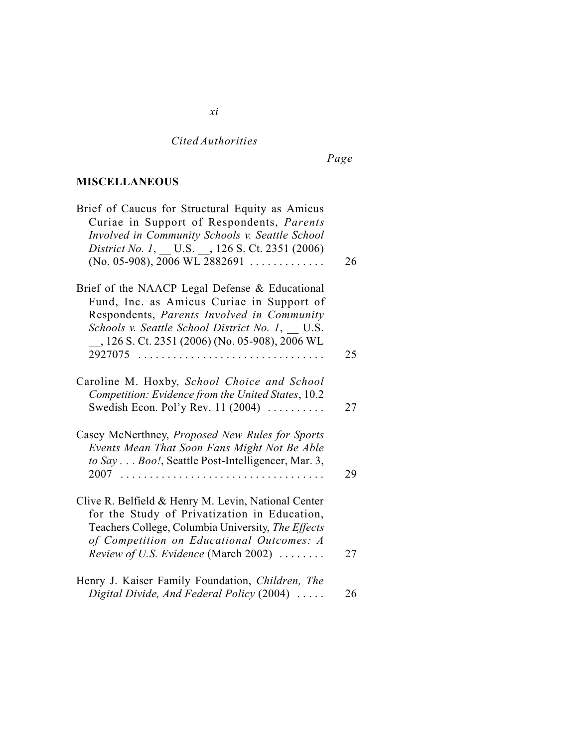*xi*

## *Page*

## **MISCELLANEOUS**

| Brief of Caucus for Structural Equity as Amicus<br>Curiae in Support of Respondents, Parents<br>Involved in Community Schools v. Seattle School<br>District No. 1, __ U.S. __, 126 S. Ct. 2351 (2006)                                                                               |    |
|-------------------------------------------------------------------------------------------------------------------------------------------------------------------------------------------------------------------------------------------------------------------------------------|----|
| $(No. 05-908), 2006 WL 2882691   $                                                                                                                                                                                                                                                  | 26 |
| Brief of the NAACP Legal Defense & Educational<br>Fund, Inc. as Amicus Curiae in Support of<br>Respondents, Parents Involved in Community<br>Schools v. Seattle School District No. 1, U.S.<br>__, 126 S. Ct. 2351 (2006) (No. 05-908), 2006 WL<br>$2927075$<br>.<br>$\mathbb{R}^2$ | 25 |
|                                                                                                                                                                                                                                                                                     |    |
| Caroline M. Hoxby, School Choice and School<br>Competition: Evidence from the United States, 10.2<br>Swedish Econ. Pol'y Rev. 11 (2004) $\ldots$                                                                                                                                    | 27 |
| Casey McNerthney, Proposed New Rules for Sports<br>Events Mean That Soon Fans Might Not Be Able<br>to Say Boo!, Seattle Post-Intelligencer, Mar. 3,                                                                                                                                 | 29 |
| Clive R. Belfield & Henry M. Levin, National Center<br>for the Study of Privatization in Education,<br>Teachers College, Columbia University, The Effects<br>of Competition on Educational Outcomes: A<br>Review of U.S. Evidence (March 2002)                                      | 27 |
| Henry J. Kaiser Family Foundation, Children, The<br>Digital Divide, And Federal Policy (2004)                                                                                                                                                                                       | 26 |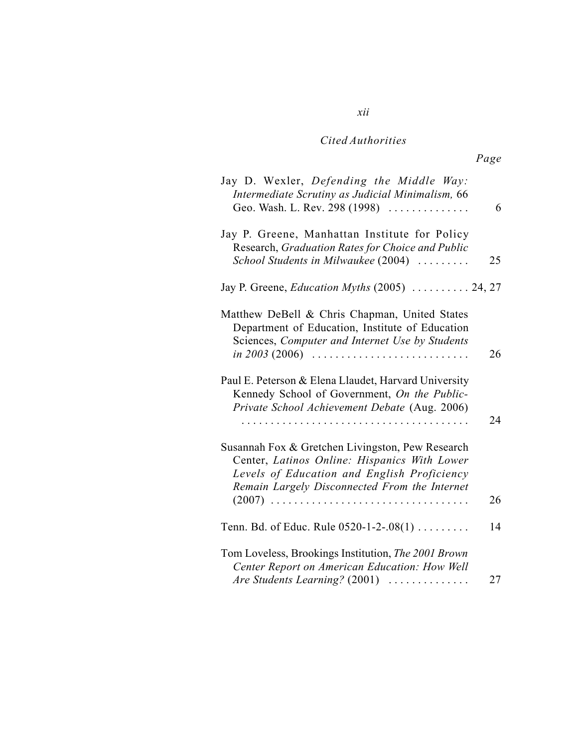*xii*

| 6  | Jay D. Wexler, Defending the Middle Way:<br>Intermediate Scrutiny as Judicial Minimalism, 66<br>Geo. Wash. L. Rev. 298 (1998)                                                                                                   |
|----|---------------------------------------------------------------------------------------------------------------------------------------------------------------------------------------------------------------------------------|
| 25 | Jay P. Greene, Manhattan Institute for Policy<br>Research, Graduation Rates for Choice and Public<br>School Students in Milwaukee (2004)                                                                                        |
|    | Jay P. Greene, <i>Education Myths</i> (2005)  24, 27                                                                                                                                                                            |
| 26 | Matthew DeBell & Chris Chapman, United States<br>Department of Education, Institute of Education<br>Sciences, Computer and Internet Use by Students<br>in 2003 (2006) $\ldots \ldots \ldots \ldots \ldots \ldots \ldots \ldots$ |
| 24 | Paul E. Peterson & Elena Llaudet, Harvard University<br>Kennedy School of Government, On the Public-<br>Private School Achievement Debate (Aug. 2006)                                                                           |
| 26 | Susannah Fox & Gretchen Livingston, Pew Research<br>Center, Latinos Online: Hispanics With Lower<br>Levels of Education and English Proficiency<br>Remain Largely Disconnected From the Internet<br>$(2007)$                    |
|    |                                                                                                                                                                                                                                 |
| 14 | Tenn. Bd. of Educ. Rule $0520 - 1 - 2 - 08(1)$                                                                                                                                                                                  |
| 27 | Tom Loveless, Brookings Institution, The 2001 Brown<br>Center Report on American Education: How Well<br>Are Students Learning? (2001)                                                                                           |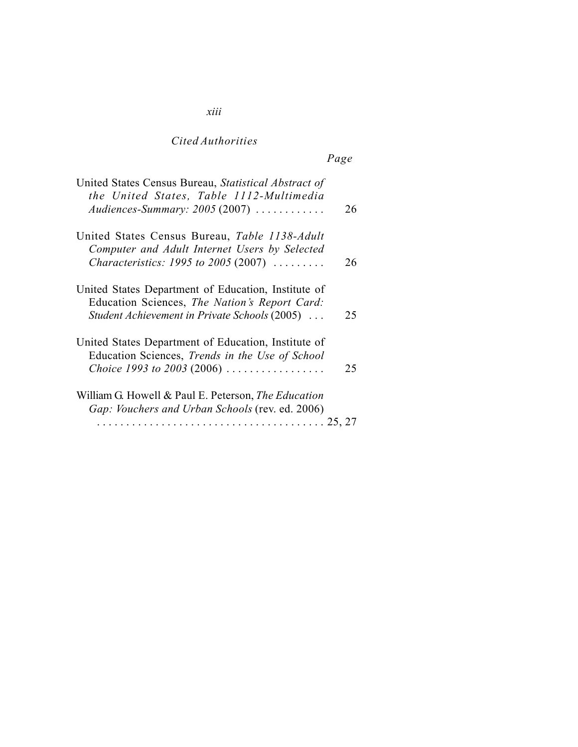*xiii*

| United States Census Bureau, Statistical Abstract of<br>the United States, Table 1112-Multimedia<br>Audiences-Summary: $2005(2007)$                                | 26 |
|--------------------------------------------------------------------------------------------------------------------------------------------------------------------|----|
| United States Census Bureau, Table 1138-Adult<br>Computer and Adult Internet Users by Selected<br><i>Characteristics: 1995 to 2005 (2007) </i>                     | 26 |
| United States Department of Education, Institute of<br>Education Sciences, The Nation's Report Card:<br>Student Achievement in Private Schools (2005)              | 25 |
| United States Department of Education, Institute of<br>Education Sciences, Trends in the Use of School<br>Choice 1993 to 2003 (2006) $\ldots \ldots \ldots \ldots$ | 25 |
| William G. Howell & Paul E. Peterson, <i>The Education</i><br>Gap: Vouchers and Urban Schools (rev. ed. 2006)                                                      |    |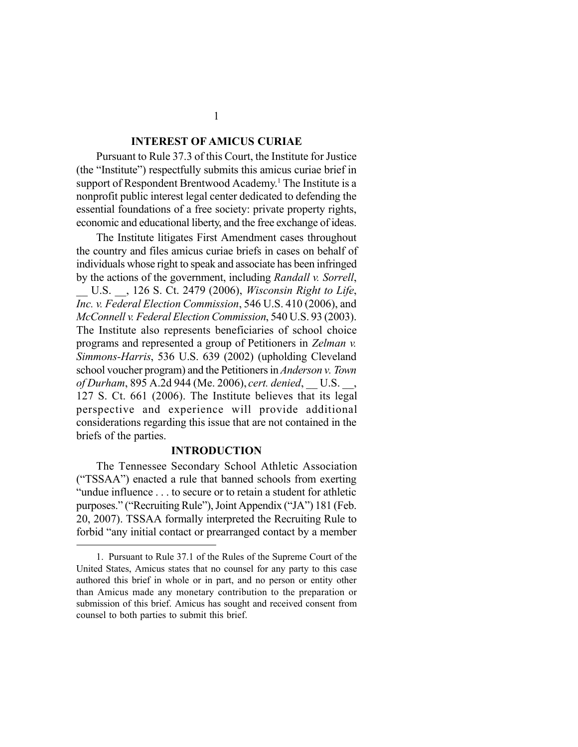#### **INTEREST OF AMICUS CURIAE**

Pursuant to Rule 37.3 of this Court, the Institute for Justice (the "Institute") respectfully submits this amicus curiae brief in support of Respondent Brentwood Academy.<sup>1</sup> The Institute is a nonprofit public interest legal center dedicated to defending the essential foundations of a free society: private property rights, economic and educational liberty, and the free exchange of ideas.

The Institute litigates First Amendment cases throughout the country and files amicus curiae briefs in cases on behalf of individuals whose right to speak and associate has been infringed by the actions of the government, including *Randall v. Sorrell*,

\_\_ U.S. \_\_, 126 S. Ct. 2479 (2006), *Wisconsin Right to Life*, *Inc. v. Federal Election Commission*, 546 U.S. 410 (2006), and *McConnell v. Federal Election Commission*, 540 U.S. 93 (2003). The Institute also represents beneficiaries of school choice programs and represented a group of Petitioners in *Zelman v. Simmons-Harris*, 536 U.S. 639 (2002) (upholding Cleveland school voucher program) and the Petitioners in *Anderson v. Town of Durham*, 895 A.2d 944 (Me. 2006), *cert. denied*, \_\_ U.S. \_\_, 127 S. Ct. 661 (2006). The Institute believes that its legal perspective and experience will provide additional considerations regarding this issue that are not contained in the briefs of the parties.

#### **INTRODUCTION**

The Tennessee Secondary School Athletic Association ("TSSAA") enacted a rule that banned schools from exerting "undue influence . . . to secure or to retain a student for athletic purposes." ("Recruiting Rule"), Joint Appendix ("JA") 181 (Feb. 20, 2007). TSSAA formally interpreted the Recruiting Rule to forbid "any initial contact or prearranged contact by a member

1

<sup>1.</sup> Pursuant to Rule 37.1 of the Rules of the Supreme Court of the United States, Amicus states that no counsel for any party to this case authored this brief in whole or in part, and no person or entity other than Amicus made any monetary contribution to the preparation or submission of this brief. Amicus has sought and received consent from counsel to both parties to submit this brief.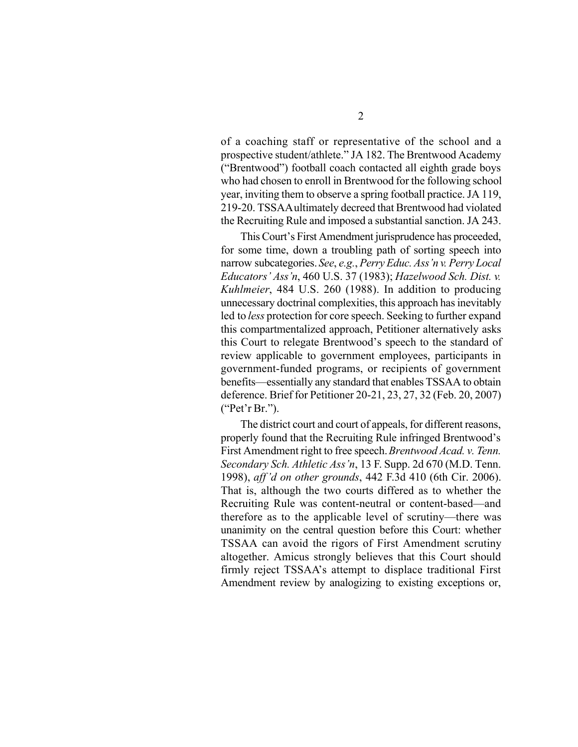of a coaching staff or representative of the school and a prospective student/athlete." JA 182. The Brentwood Academy ("Brentwood") football coach contacted all eighth grade boys who had chosen to enroll in Brentwood for the following school year, inviting them to observe a spring football practice. JA 119, 219-20. TSSAA ultimately decreed that Brentwood had violated the Recruiting Rule and imposed a substantial sanction. JA 243.

This Court's First Amendment jurisprudence has proceeded, for some time, down a troubling path of sorting speech into narrow subcategories. *See*, *e.g.*, *Perry Educ. Ass'n v. Perry Local Educators' Ass'n*, 460 U.S. 37 (1983); *Hazelwood Sch. Dist. v. Kuhlmeier*, 484 U.S. 260 (1988). In addition to producing unnecessary doctrinal complexities, this approach has inevitably led to *less* protection for core speech. Seeking to further expand this compartmentalized approach, Petitioner alternatively asks this Court to relegate Brentwood's speech to the standard of review applicable to government employees, participants in government-funded programs, or recipients of government benefits—essentially any standard that enables TSSAA to obtain deference. Brief for Petitioner 20-21, 23, 27, 32 (Feb. 20, 2007) ("Pet'r Br.").

The district court and court of appeals, for different reasons, properly found that the Recruiting Rule infringed Brentwood's First Amendment right to free speech. *Brentwood Acad. v. Tenn. Secondary Sch. Athletic Ass'n*, 13 F. Supp. 2d 670 (M.D. Tenn. 1998), *aff'd on other grounds*, 442 F.3d 410 (6th Cir. 2006). That is, although the two courts differed as to whether the Recruiting Rule was content-neutral or content-based—and therefore as to the applicable level of scrutiny—there was unanimity on the central question before this Court: whether TSSAA can avoid the rigors of First Amendment scrutiny altogether. Amicus strongly believes that this Court should firmly reject TSSAA's attempt to displace traditional First Amendment review by analogizing to existing exceptions or,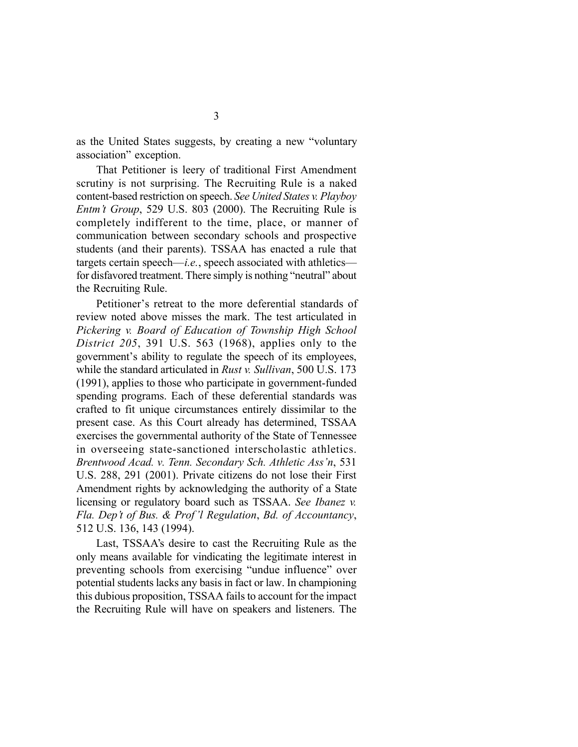as the United States suggests, by creating a new "voluntary association" exception.

That Petitioner is leery of traditional First Amendment scrutiny is not surprising. The Recruiting Rule is a naked content-based restriction on speech. *See United States v. Playboy Entm't Group*, 529 U.S. 803 (2000). The Recruiting Rule is completely indifferent to the time, place, or manner of communication between secondary schools and prospective students (and their parents). TSSAA has enacted a rule that targets certain speech—*i.e.*, speech associated with athletics for disfavored treatment. There simply is nothing "neutral" about the Recruiting Rule.

Petitioner's retreat to the more deferential standards of review noted above misses the mark. The test articulated in *Pickering v. Board of Education of Township High School District 205*, 391 U.S. 563 (1968), applies only to the government's ability to regulate the speech of its employees, while the standard articulated in *Rust v. Sullivan*, 500 U.S. 173 (1991), applies to those who participate in government-funded spending programs. Each of these deferential standards was crafted to fit unique circumstances entirely dissimilar to the present case. As this Court already has determined, TSSAA exercises the governmental authority of the State of Tennessee in overseeing state-sanctioned interscholastic athletics. *Brentwood Acad. v. Tenn. Secondary Sch. Athletic Ass'n*, 531 U.S. 288, 291 (2001). Private citizens do not lose their First Amendment rights by acknowledging the authority of a State licensing or regulatory board such as TSSAA. *See Ibanez v. Fla. Dep't of Bus. & Prof'l Regulation*, *Bd. of Accountancy*, 512 U.S. 136, 143 (1994).

Last, TSSAA's desire to cast the Recruiting Rule as the only means available for vindicating the legitimate interest in preventing schools from exercising "undue influence" over potential students lacks any basis in fact or law. In championing this dubious proposition, TSSAA fails to account for the impact the Recruiting Rule will have on speakers and listeners. The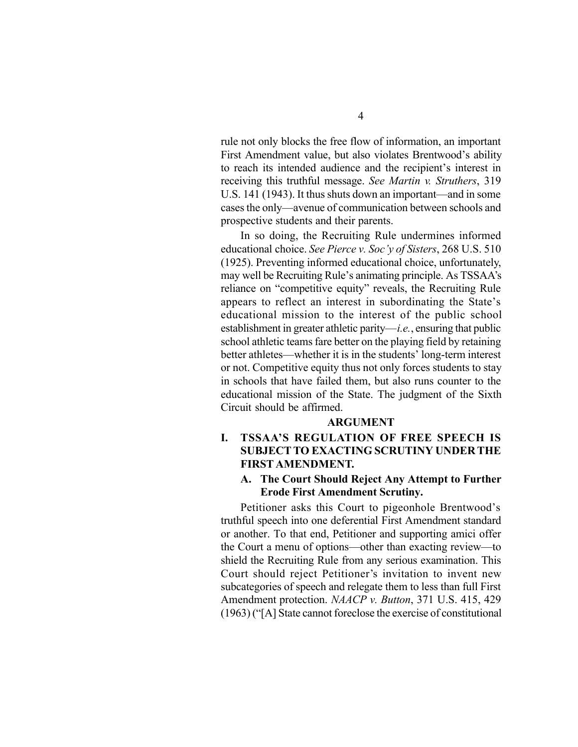rule not only blocks the free flow of information, an important First Amendment value, but also violates Brentwood's ability to reach its intended audience and the recipient's interest in receiving this truthful message. *See Martin v. Struthers*, 319 U.S. 141 (1943). It thus shuts down an important—and in some cases the only—avenue of communication between schools and prospective students and their parents.

In so doing, the Recruiting Rule undermines informed educational choice. *See Pierce v. Soc'y of Sisters*, 268 U.S. 510 (1925). Preventing informed educational choice, unfortunately, may well be Recruiting Rule's animating principle. As TSSAA's reliance on "competitive equity" reveals, the Recruiting Rule appears to reflect an interest in subordinating the State's educational mission to the interest of the public school establishment in greater athletic parity—*i.e.*, ensuring that public school athletic teams fare better on the playing field by retaining better athletes—whether it is in the students' long-term interest or not. Competitive equity thus not only forces students to stay in schools that have failed them, but also runs counter to the educational mission of the State. The judgment of the Sixth Circuit should be affirmed.

#### **ARGUMENT**

### **I. TSSAA'S REGULATION OF FREE SPEECH IS SUBJECTTO EXACTING SCRUTINY UNDER THE FIRST AMENDMENT.**

#### **A. The Court Should Reject Any Attempt to Further Erode First Amendment Scrutiny.**

Petitioner asks this Court to pigeonhole Brentwood's truthful speech into one deferential First Amendment standard or another. To that end, Petitioner and supporting amici offer the Court a menu of options—other than exacting review—to shield the Recruiting Rule from any serious examination. This Court should reject Petitioner's invitation to invent new subcategories of speech and relegate them to less than full First Amendment protection. *NAACP v. Button*, 371 U.S. 415, 429 (1963) ("[A] State cannot foreclose the exercise of constitutional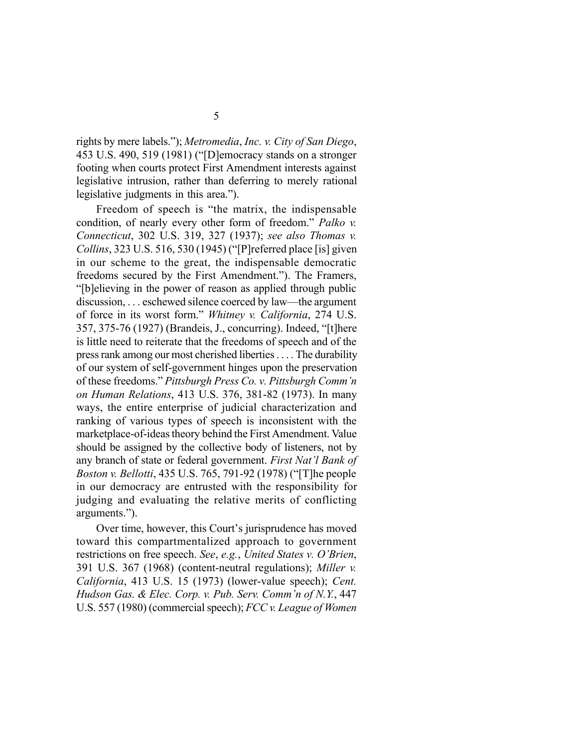rights by mere labels."); *Metromedia*, *Inc. v. City of San Diego*, 453 U.S. 490, 519 (1981) ("[D]emocracy stands on a stronger footing when courts protect First Amendment interests against legislative intrusion, rather than deferring to merely rational legislative judgments in this area.").

Freedom of speech is "the matrix, the indispensable condition, of nearly every other form of freedom." *Palko v. Connecticut*, 302 U.S. 319, 327 (1937); *see also Thomas v. Collins*, 323 U.S. 516, 530 (1945) ("[P]referred place [is] given in our scheme to the great, the indispensable democratic freedoms secured by the First Amendment."). The Framers, "[b]elieving in the power of reason as applied through public discussion, . . . eschewed silence coerced by law—the argument of force in its worst form." *Whitney v. California*, 274 U.S. 357, 375-76 (1927) (Brandeis, J., concurring). Indeed, "[t]here is little need to reiterate that the freedoms of speech and of the press rank among our most cherished liberties . . . . The durability of our system of self-government hinges upon the preservation of these freedoms." *Pittsburgh Press Co. v. Pittsburgh Comm'n on Human Relations*, 413 U.S. 376, 381-82 (1973). In many ways, the entire enterprise of judicial characterization and ranking of various types of speech is inconsistent with the marketplace-of-ideas theory behind the First Amendment. Value should be assigned by the collective body of listeners, not by any branch of state or federal government. *First Nat'l Bank of Boston v. Bellotti*, 435 U.S. 765, 791-92 (1978) ("[T]he people in our democracy are entrusted with the responsibility for judging and evaluating the relative merits of conflicting arguments.").

Over time, however, this Court's jurisprudence has moved toward this compartmentalized approach to government restrictions on free speech. *See*, *e.g.*, *United States v. O'Brien*, 391 U.S. 367 (1968) (content-neutral regulations); *Miller v. California*, 413 U.S. 15 (1973) (lower-value speech); *Cent. Hudson Gas. & Elec. Corp. v. Pub. Serv. Comm'n of N.Y.*, 447 U.S. 557 (1980) (commercial speech); *FCC v. League of Women*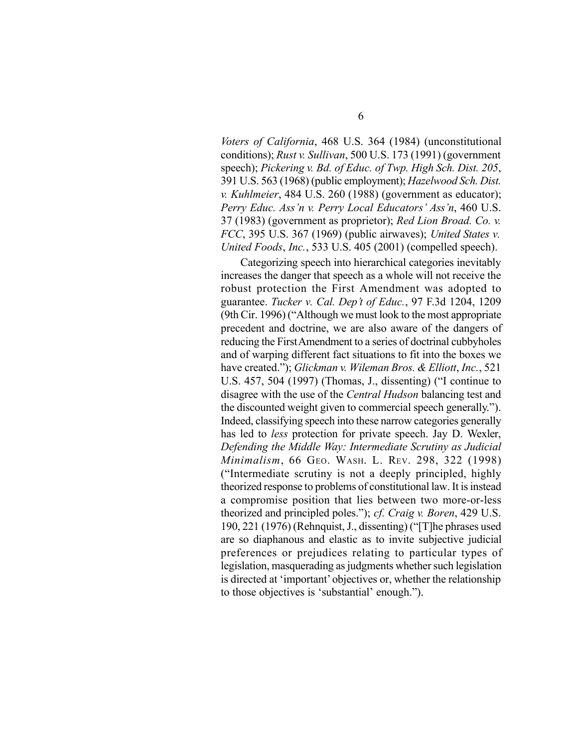*Voters of California*, 468 U.S. 364 (1984) (unconstitutional conditions); *Rust v. Sullivan*, 500 U.S. 173 (1991) (government speech); *Pickering v. Bd. of Educ. of Twp. High Sch. Dist. 205*, 391 U.S. 563 (1968) (public employment); *Hazelwood Sch. Dist. v. Kuhlmeier*, 484 U.S. 260 (1988) (government as educator); *Perry Educ. Ass'n v. Perry Local Educators' Ass'n*, 460 U.S. 37 (1983) (government as proprietor); *Red Lion Broad. Co. v. FCC*, 395 U.S. 367 (1969) (public airwaves); *United States v. United Foods*, *Inc.*, 533 U.S. 405 (2001) (compelled speech).

Categorizing speech into hierarchical categories inevitably increases the danger that speech as a whole will not receive the robust protection the First Amendment was adopted to guarantee. *Tucker v. Cal. Dep't of Educ.*, 97 F.3d 1204, 1209 (9th Cir. 1996) ("Although we must look to the most appropriate precedent and doctrine, we are also aware of the dangers of reducing the First Amendment to a series of doctrinal cubbyholes and of warping different fact situations to fit into the boxes we have created."); *Glickman v. Wileman Bros. & Elliott*, *Inc.*, 521 U.S. 457, 504 (1997) (Thomas, J., dissenting) ("I continue to disagree with the use of the *Central Hudson* balancing test and the discounted weight given to commercial speech generally."). Indeed, classifying speech into these narrow categories generally has led to *less* protection for private speech. Jay D. Wexler, *Defending the Middle Way: Intermediate Scrutiny as Judicial Minimalism*, 66 GEO. WASH. L. REV. 298, 322 (1998) ("Intermediate scrutiny is not a deeply principled, highly theorized response to problems of constitutional law. It is instead a compromise position that lies between two more-or-less theorized and principled poles."); *cf. Craig v. Boren*, 429 U.S. 190, 221 (1976) (Rehnquist, J., dissenting) ("[T]he phrases used are so diaphanous and elastic as to invite subjective judicial preferences or prejudices relating to particular types of legislation, masquerading as judgments whether such legislation is directed at 'important' objectives or, whether the relationship to those objectives is 'substantial' enough.").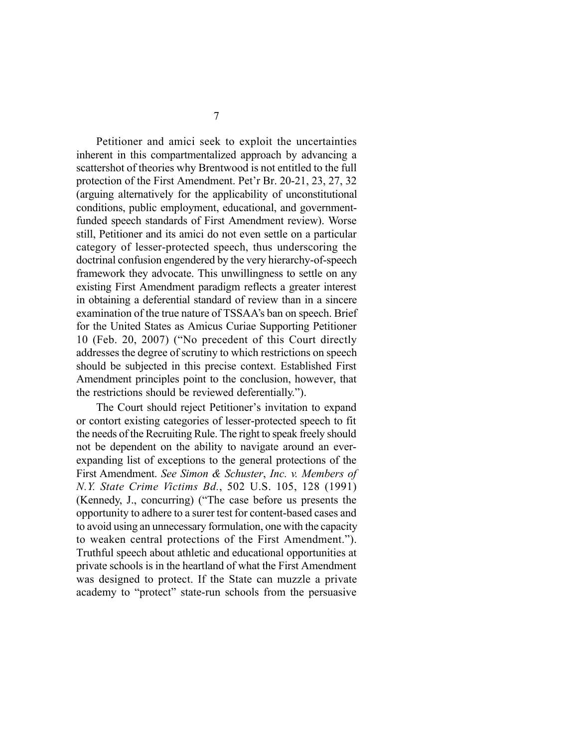Petitioner and amici seek to exploit the uncertainties inherent in this compartmentalized approach by advancing a scattershot of theories why Brentwood is not entitled to the full protection of the First Amendment. Pet'r Br. 20-21, 23, 27, 32 (arguing alternatively for the applicability of unconstitutional conditions, public employment, educational, and governmentfunded speech standards of First Amendment review). Worse still, Petitioner and its amici do not even settle on a particular category of lesser-protected speech, thus underscoring the doctrinal confusion engendered by the very hierarchy-of-speech framework they advocate. This unwillingness to settle on any existing First Amendment paradigm reflects a greater interest in obtaining a deferential standard of review than in a sincere examination of the true nature of TSSAA's ban on speech. Brief for the United States as Amicus Curiae Supporting Petitioner 10 (Feb. 20, 2007) ("No precedent of this Court directly addresses the degree of scrutiny to which restrictions on speech should be subjected in this precise context. Established First Amendment principles point to the conclusion, however, that the restrictions should be reviewed deferentially.").

The Court should reject Petitioner's invitation to expand or contort existing categories of lesser-protected speech to fit the needs of the Recruiting Rule. The right to speak freely should not be dependent on the ability to navigate around an everexpanding list of exceptions to the general protections of the First Amendment. *See Simon & Schuster*, *Inc. v. Members of N.Y. State Crime Victims Bd.*, 502 U.S. 105, 128 (1991) (Kennedy, J., concurring) ("The case before us presents the opportunity to adhere to a surer test for content-based cases and to avoid using an unnecessary formulation, one with the capacity to weaken central protections of the First Amendment."). Truthful speech about athletic and educational opportunities at private schools is in the heartland of what the First Amendment was designed to protect. If the State can muzzle a private academy to "protect" state-run schools from the persuasive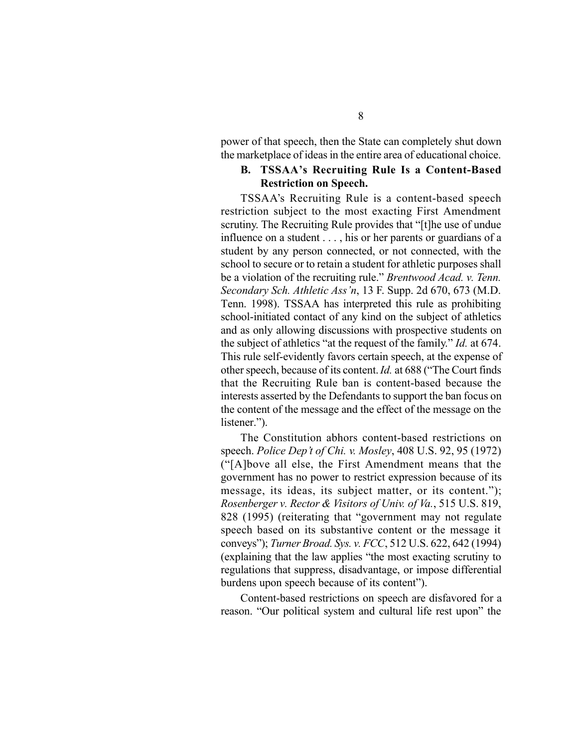power of that speech, then the State can completely shut down the marketplace of ideas in the entire area of educational choice.

#### **B. TSSAA's Recruiting Rule Is a Content-Based Restriction on Speech.**

TSSAA's Recruiting Rule is a content-based speech restriction subject to the most exacting First Amendment scrutiny. The Recruiting Rule provides that "[t]he use of undue influence on a student . . . , his or her parents or guardians of a student by any person connected, or not connected, with the school to secure or to retain a student for athletic purposes shall be a violation of the recruiting rule." *Brentwood Acad. v. Tenn. Secondary Sch. Athletic Ass'n*, 13 F. Supp. 2d 670, 673 (M.D. Tenn. 1998). TSSAA has interpreted this rule as prohibiting school-initiated contact of any kind on the subject of athletics and as only allowing discussions with prospective students on the subject of athletics "at the request of the family." *Id.* at 674. This rule self-evidently favors certain speech, at the expense of other speech, because of its content. *Id.* at 688 ("The Court finds that the Recruiting Rule ban is content-based because the interests asserted by the Defendants to support the ban focus on the content of the message and the effect of the message on the listener.").

The Constitution abhors content-based restrictions on speech. *Police Dep't of Chi. v. Mosley*, 408 U.S. 92, 95 (1972) ("[A]bove all else, the First Amendment means that the government has no power to restrict expression because of its message, its ideas, its subject matter, or its content."); *Rosenberger v. Rector & Visitors of Univ. of Va.*, 515 U.S. 819, 828 (1995) (reiterating that "government may not regulate speech based on its substantive content or the message it conveys"); *Turner Broad. Sys. v. FCC*, 512 U.S. 622, 642 (1994) (explaining that the law applies "the most exacting scrutiny to regulations that suppress, disadvantage, or impose differential burdens upon speech because of its content").

Content-based restrictions on speech are disfavored for a reason. "Our political system and cultural life rest upon" the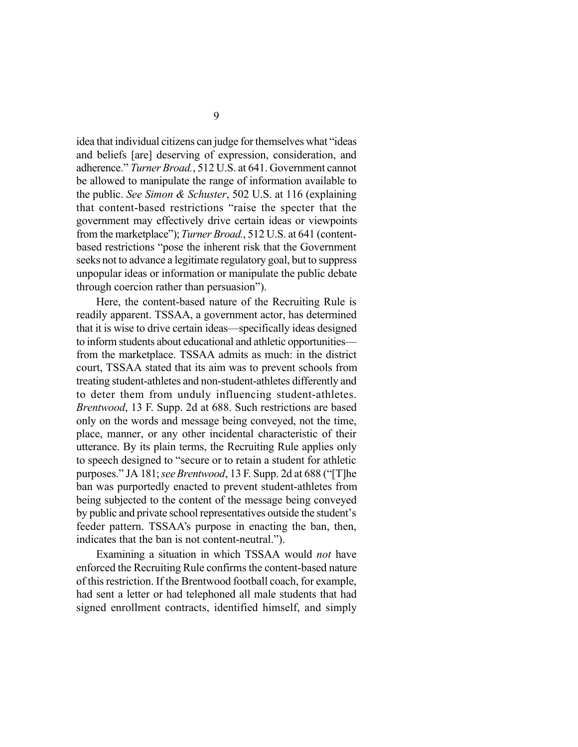idea that individual citizens can judge for themselves what "ideas and beliefs [are] deserving of expression, consideration, and adherence." *Turner Broad.*, 512 U.S. at 641. Government cannot be allowed to manipulate the range of information available to the public. *See Simon & Schuster*, 502 U.S. at 116 (explaining that content-based restrictions "raise the specter that the government may effectively drive certain ideas or viewpoints from the marketplace"); *Turner Broad.*, 512 U.S. at 641 (contentbased restrictions "pose the inherent risk that the Government seeks not to advance a legitimate regulatory goal, but to suppress unpopular ideas or information or manipulate the public debate through coercion rather than persuasion").

Here, the content-based nature of the Recruiting Rule is readily apparent. TSSAA, a government actor, has determined that it is wise to drive certain ideas—specifically ideas designed to inform students about educational and athletic opportunities from the marketplace. TSSAA admits as much: in the district court, TSSAA stated that its aim was to prevent schools from treating student-athletes and non-student-athletes differently and to deter them from unduly influencing student-athletes. *Brentwood*, 13 F. Supp. 2d at 688. Such restrictions are based only on the words and message being conveyed, not the time, place, manner, or any other incidental characteristic of their utterance. By its plain terms, the Recruiting Rule applies only to speech designed to "secure or to retain a student for athletic purposes." JA 181; *see Brentwood*, 13 F. Supp. 2d at 688 ("[T]he ban was purportedly enacted to prevent student-athletes from being subjected to the content of the message being conveyed by public and private school representatives outside the student's feeder pattern. TSSAA's purpose in enacting the ban, then, indicates that the ban is not content-neutral.").

Examining a situation in which TSSAA would *not* have enforced the Recruiting Rule confirms the content-based nature of this restriction. If the Brentwood football coach, for example, had sent a letter or had telephoned all male students that had signed enrollment contracts, identified himself, and simply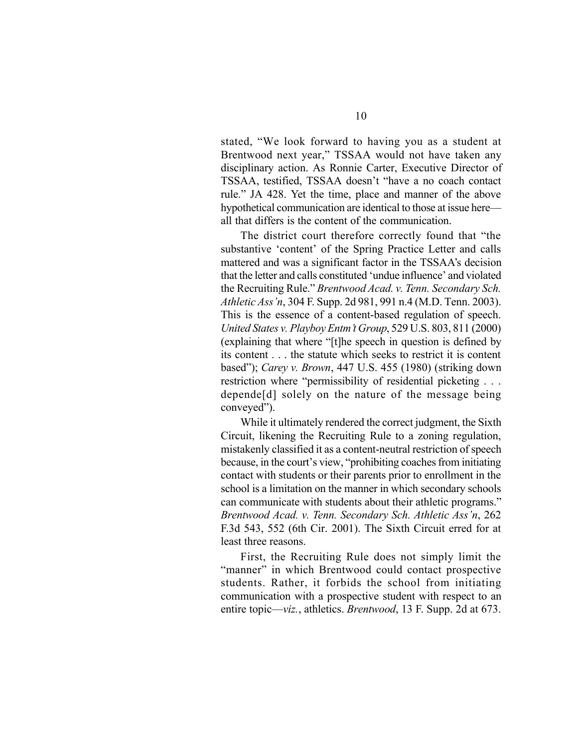stated, "We look forward to having you as a student at Brentwood next year," TSSAA would not have taken any disciplinary action. As Ronnie Carter, Executive Director of TSSAA, testified, TSSAA doesn't "have a no coach contact rule." JA 428. Yet the time, place and manner of the above hypothetical communication are identical to those at issue here all that differs is the content of the communication.

The district court therefore correctly found that "the substantive 'content' of the Spring Practice Letter and calls mattered and was a significant factor in the TSSAA's decision that the letter and calls constituted 'undue influence' and violated the Recruiting Rule." *Brentwood Acad. v. Tenn. Secondary Sch. Athletic Ass'n*, 304 F. Supp. 2d 981, 991 n.4 (M.D. Tenn. 2003). This is the essence of a content-based regulation of speech. *United States v. Playboy Entm't Group*, 529 U.S. 803, 811 (2000) (explaining that where "[t]he speech in question is defined by its content . . . the statute which seeks to restrict it is content based"); *Carey v. Brown*, 447 U.S. 455 (1980) (striking down restriction where "permissibility of residential picketing . . . depende[d] solely on the nature of the message being conveyed").

While it ultimately rendered the correct judgment, the Sixth Circuit, likening the Recruiting Rule to a zoning regulation, mistakenly classified it as a content-neutral restriction of speech because, in the court's view, "prohibiting coaches from initiating contact with students or their parents prior to enrollment in the school is a limitation on the manner in which secondary schools can communicate with students about their athletic programs." *Brentwood Acad. v. Tenn. Secondary Sch. Athletic Ass'n*, 262 F.3d 543, 552 (6th Cir. 2001). The Sixth Circuit erred for at least three reasons.

First, the Recruiting Rule does not simply limit the "manner" in which Brentwood could contact prospective students. Rather, it forbids the school from initiating communication with a prospective student with respect to an entire topic—*viz.*, athletics. *Brentwood*, 13 F. Supp. 2d at 673.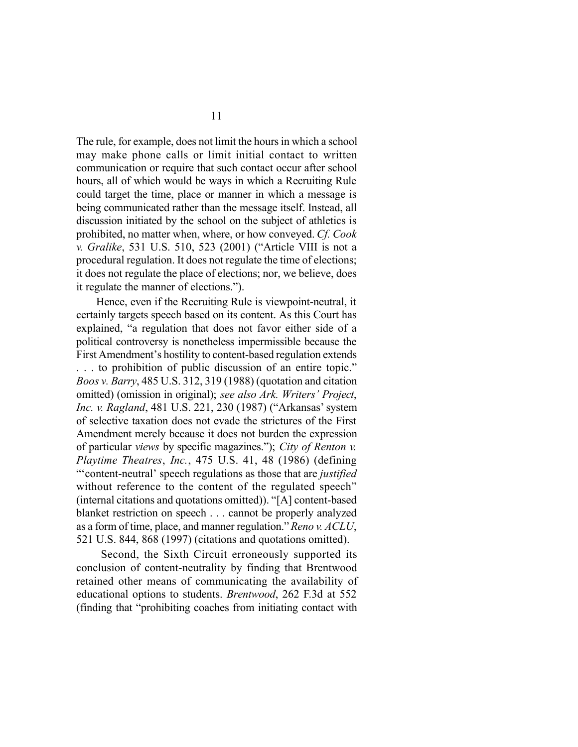The rule, for example, does not limit the hours in which a school may make phone calls or limit initial contact to written communication or require that such contact occur after school hours, all of which would be ways in which a Recruiting Rule could target the time, place or manner in which a message is being communicated rather than the message itself. Instead, all discussion initiated by the school on the subject of athletics is prohibited, no matter when, where, or how conveyed. *Cf. Cook v. Gralike*, 531 U.S. 510, 523 (2001) ("Article VIII is not a procedural regulation. It does not regulate the time of elections; it does not regulate the place of elections; nor, we believe, does it regulate the manner of elections.").

Hence, even if the Recruiting Rule is viewpoint-neutral, it certainly targets speech based on its content. As this Court has explained, "a regulation that does not favor either side of a political controversy is nonetheless impermissible because the First Amendment's hostility to content-based regulation extends . . . to prohibition of public discussion of an entire topic." *Boos v. Barry*, 485 U.S. 312, 319 (1988) (quotation and citation omitted) (omission in original); *see also Ark. Writers' Project*, *Inc. v. Ragland*, 481 U.S. 221, 230 (1987) ("Arkansas' system of selective taxation does not evade the strictures of the First Amendment merely because it does not burden the expression of particular *views* by specific magazines."); *City of Renton v. Playtime Theatres*, *Inc.*, 475 U.S. 41, 48 (1986) (defining "'content-neutral' speech regulations as those that are *justified* without reference to the content of the regulated speech" (internal citations and quotations omitted)). "[A] content-based blanket restriction on speech . . . cannot be properly analyzed as a form of time, place, and manner regulation." *Reno v. ACLU*, 521 U.S. 844, 868 (1997) (citations and quotations omitted).

 Second, the Sixth Circuit erroneously supported its conclusion of content-neutrality by finding that Brentwood retained other means of communicating the availability of educational options to students. *Brentwood*, 262 F.3d at 552 (finding that "prohibiting coaches from initiating contact with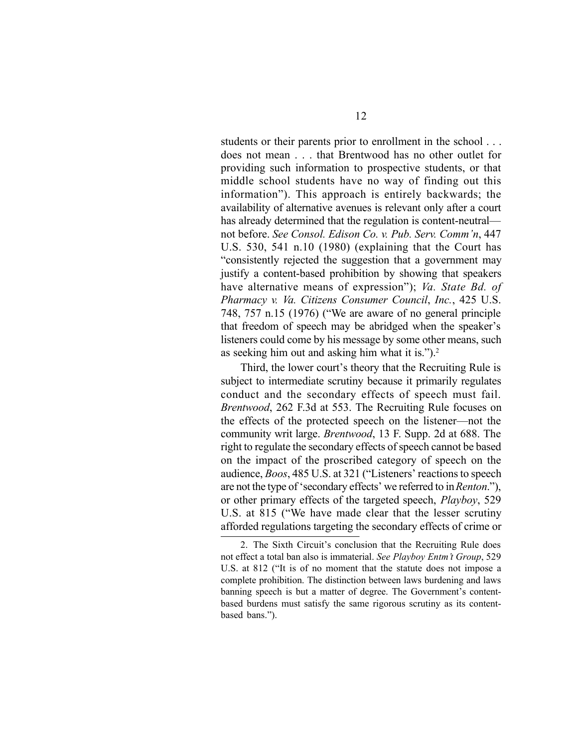students or their parents prior to enrollment in the school . . . does not mean . . . that Brentwood has no other outlet for providing such information to prospective students, or that middle school students have no way of finding out this information"). This approach is entirely backwards; the availability of alternative avenues is relevant only after a court has already determined that the regulation is content-neutral not before. *See Consol. Edison Co. v. Pub. Serv. Comm'n*, 447 U.S. 530, 541 n.10 (1980) (explaining that the Court has "consistently rejected the suggestion that a government may justify a content-based prohibition by showing that speakers have alternative means of expression"); *Va. State Bd. of Pharmacy v. Va. Citizens Consumer Council*, *Inc.*, 425 U.S. 748, 757 n.15 (1976) ("We are aware of no general principle that freedom of speech may be abridged when the speaker's listeners could come by his message by some other means, such as seeking him out and asking him what it is." $)$ .<sup>2</sup>

Third, the lower court's theory that the Recruiting Rule is subject to intermediate scrutiny because it primarily regulates conduct and the secondary effects of speech must fail. *Brentwood*, 262 F.3d at 553. The Recruiting Rule focuses on the effects of the protected speech on the listener—not the community writ large. *Brentwood*, 13 F. Supp. 2d at 688. The right to regulate the secondary effects of speech cannot be based on the impact of the proscribed category of speech on the audience, *Boos*, 485 U.S. at 321 ("Listeners' reactions to speech are not the type of 'secondary effects' we referred to in *Renton*."), or other primary effects of the targeted speech, *Playboy*, 529 U.S. at 815 ("We have made clear that the lesser scrutiny afforded regulations targeting the secondary effects of crime or

2. The Sixth Circuit's conclusion that the Recruiting Rule does not effect a total ban also is immaterial. *See Playboy Entm't Group*, 529 U.S. at 812 ("It is of no moment that the statute does not impose a complete prohibition. The distinction between laws burdening and laws banning speech is but a matter of degree. The Government's contentbased burdens must satisfy the same rigorous scrutiny as its contentbased bans.").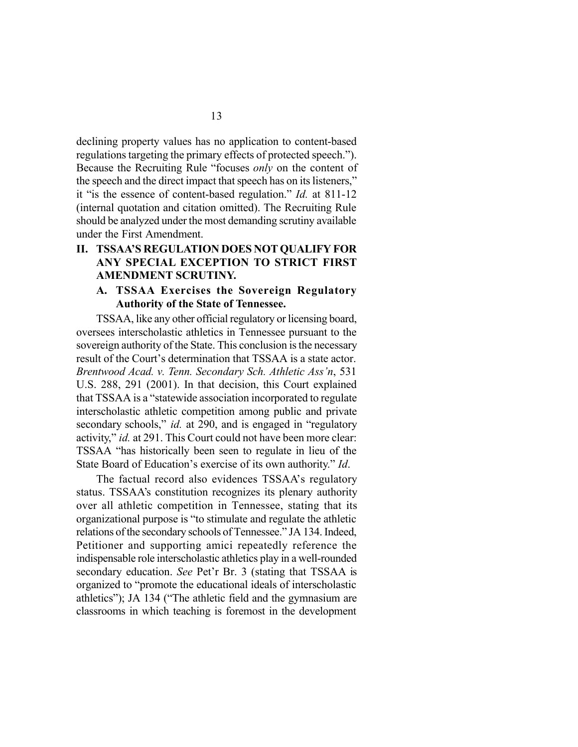declining property values has no application to content-based regulations targeting the primary effects of protected speech."). Because the Recruiting Rule "focuses *only* on the content of the speech and the direct impact that speech has on its listeners," it "is the essence of content-based regulation." *Id.* at 811-12 (internal quotation and citation omitted). The Recruiting Rule should be analyzed under the most demanding scrutiny available under the First Amendment.

### **II. TSSAA'S REGULATION DOES NOT QUALIFY FOR ANY SPECIAL EXCEPTION TO STRICT FIRST AMENDMENT SCRUTINY.**

#### **A. TSSAA Exercises the Sovereign Regulatory Authority of the State of Tennessee.**

TSSAA, like any other official regulatory or licensing board, oversees interscholastic athletics in Tennessee pursuant to the sovereign authority of the State. This conclusion is the necessary result of the Court's determination that TSSAA is a state actor. *Brentwood Acad. v. Tenn. Secondary Sch. Athletic Ass'n*, 531 U.S. 288, 291 (2001). In that decision, this Court explained that TSSAA is a "statewide association incorporated to regulate interscholastic athletic competition among public and private secondary schools," *id.* at 290, and is engaged in "regulatory activity," *id.* at 291. This Court could not have been more clear: TSSAA "has historically been seen to regulate in lieu of the State Board of Education's exercise of its own authority." *Id*.

The factual record also evidences TSSAA's regulatory status. TSSAA's constitution recognizes its plenary authority over all athletic competition in Tennessee, stating that its organizational purpose is "to stimulate and regulate the athletic relations of the secondary schools of Tennessee." JA 134. Indeed, Petitioner and supporting amici repeatedly reference the indispensable role interscholastic athletics play in a well-rounded secondary education. *See* Pet'r Br. 3 (stating that TSSAA is organized to "promote the educational ideals of interscholastic athletics"); JA 134 ("The athletic field and the gymnasium are classrooms in which teaching is foremost in the development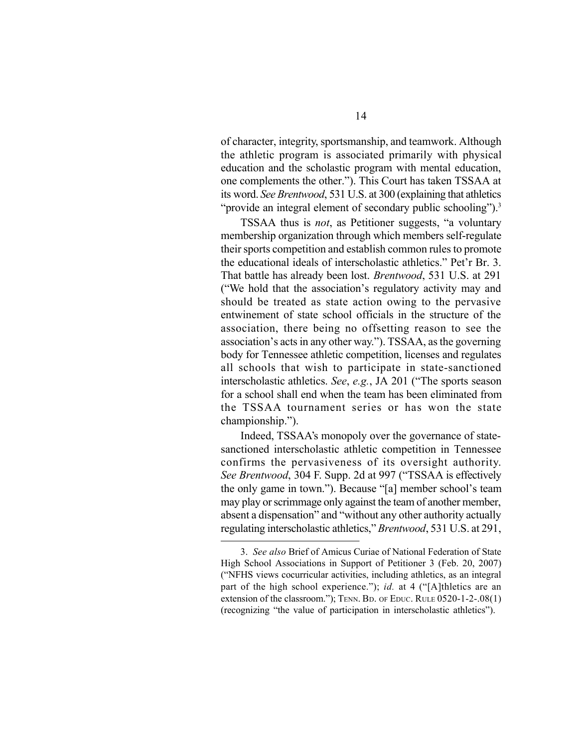of character, integrity, sportsmanship, and teamwork. Although the athletic program is associated primarily with physical education and the scholastic program with mental education, one complements the other."). This Court has taken TSSAA at its word. *See Brentwood*, 531 U.S. at 300 (explaining that athletics "provide an integral element of secondary public schooling").<sup>3</sup>

TSSAA thus is *not*, as Petitioner suggests, "a voluntary membership organization through which members self-regulate their sports competition and establish common rules to promote the educational ideals of interscholastic athletics." Pet'r Br. 3. That battle has already been lost. *Brentwood*, 531 U.S. at 291 ("We hold that the association's regulatory activity may and should be treated as state action owing to the pervasive entwinement of state school officials in the structure of the association, there being no offsetting reason to see the association's acts in any other way."). TSSAA, as the governing body for Tennessee athletic competition, licenses and regulates all schools that wish to participate in state-sanctioned interscholastic athletics. *See*, *e.g.*, JA 201 ("The sports season for a school shall end when the team has been eliminated from the TSSAA tournament series or has won the state championship.").

Indeed, TSSAA's monopoly over the governance of statesanctioned interscholastic athletic competition in Tennessee confirms the pervasiveness of its oversight authority. *See Brentwood*, 304 F. Supp. 2d at 997 ("TSSAA is effectively the only game in town."). Because "[a] member school's team may play or scrimmage only against the team of another member, absent a dispensation" and "without any other authority actually regulating interscholastic athletics," *Brentwood*, 531 U.S. at 291,

<sup>3.</sup> *See also* Brief of Amicus Curiae of National Federation of State High School Associations in Support of Petitioner 3 (Feb. 20, 2007) ("NFHS views cocurricular activities, including athletics, as an integral part of the high school experience."); *id.* at 4 ("[A]thletics are an extension of the classroom."); TENN. BD. OF EDUC. RULE 0520-1-2-.08(1) (recognizing "the value of participation in interscholastic athletics").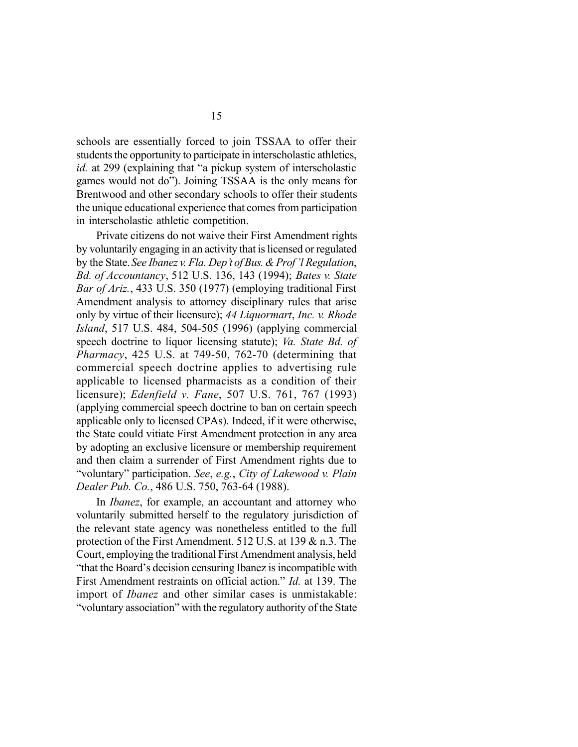schools are essentially forced to join TSSAA to offer their students the opportunity to participate in interscholastic athletics, *id.* at 299 (explaining that "a pickup system of interscholastic games would not do"). Joining TSSAA is the only means for Brentwood and other secondary schools to offer their students the unique educational experience that comes from participation in interscholastic athletic competition.

Private citizens do not waive their First Amendment rights by voluntarily engaging in an activity that is licensed or regulated by the State. *See Ibanez v. Fla. Dep't of Bus. & Prof'l Regulation*, *Bd. of Accountancy*, 512 U.S. 136, 143 (1994); *Bates v. State Bar of Ariz.*, 433 U.S. 350 (1977) (employing traditional First Amendment analysis to attorney disciplinary rules that arise only by virtue of their licensure); *44 Liquormart*, *Inc. v. Rhode Island*, 517 U.S. 484, 504-505 (1996) (applying commercial speech doctrine to liquor licensing statute); *Va. State Bd. of Pharmacy*, 425 U.S. at 749-50, 762-70 (determining that commercial speech doctrine applies to advertising rule applicable to licensed pharmacists as a condition of their licensure); *Edenfield v. Fane*, 507 U.S. 761, 767 (1993) (applying commercial speech doctrine to ban on certain speech applicable only to licensed CPAs). Indeed, if it were otherwise, the State could vitiate First Amendment protection in any area by adopting an exclusive licensure or membership requirement and then claim a surrender of First Amendment rights due to "voluntary" participation. *See*, *e.g.*, *City of Lakewood v. Plain Dealer Pub. Co.*, 486 U.S. 750, 763-64 (1988).

In *Ibanez*, for example, an accountant and attorney who voluntarily submitted herself to the regulatory jurisdiction of the relevant state agency was nonetheless entitled to the full protection of the First Amendment. 512 U.S. at 139 & n.3. The Court, employing the traditional First Amendment analysis, held "that the Board's decision censuring Ibanez is incompatible with First Amendment restraints on official action." *Id.* at 139. The import of *Ibanez* and other similar cases is unmistakable: "voluntary association" with the regulatory authority of the State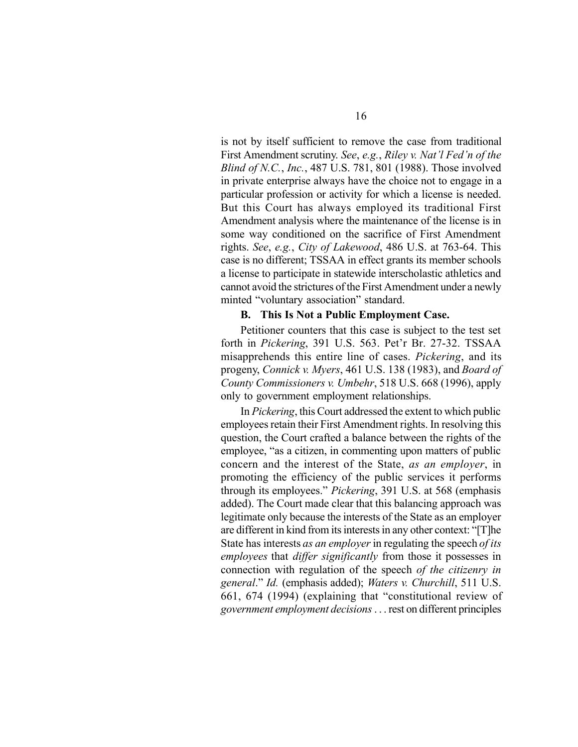is not by itself sufficient to remove the case from traditional First Amendment scrutiny. *See*, *e.g.*, *Riley v. Nat'l Fed'n of the Blind of N.C.*, *Inc.*, 487 U.S. 781, 801 (1988). Those involved in private enterprise always have the choice not to engage in a particular profession or activity for which a license is needed. But this Court has always employed its traditional First Amendment analysis where the maintenance of the license is in some way conditioned on the sacrifice of First Amendment rights. *See*, *e.g.*, *City of Lakewood*, 486 U.S. at 763-64. This case is no different; TSSAA in effect grants its member schools a license to participate in statewide interscholastic athletics and cannot avoid the strictures of the First Amendment under a newly minted "voluntary association" standard.

#### **B. This Is Not a Public Employment Case.**

Petitioner counters that this case is subject to the test set forth in *Pickering*, 391 U.S. 563. Pet'r Br. 27-32. TSSAA misapprehends this entire line of cases. *Pickering*, and its progeny, *Connick v. Myers*, 461 U.S. 138 (1983), and *Board of County Commissioners v. Umbehr*, 518 U.S. 668 (1996), apply only to government employment relationships.

In *Pickering*, this Court addressed the extent to which public employees retain their First Amendment rights. In resolving this question, the Court crafted a balance between the rights of the employee, "as a citizen, in commenting upon matters of public concern and the interest of the State, *as an employer*, in promoting the efficiency of the public services it performs through its employees." *Pickering*, 391 U.S. at 568 (emphasis added). The Court made clear that this balancing approach was legitimate only because the interests of the State as an employer are different in kind from its interests in any other context: "[T]he State has interests *as an employer* in regulating the speech *of its employees* that *differ significantly* from those it possesses in connection with regulation of the speech *of the citizenry in general*." *Id.* (emphasis added); *Waters v. Churchill*, 511 U.S. 661, 674 (1994) (explaining that "constitutional review of *government employment decisions* . . . rest on different principles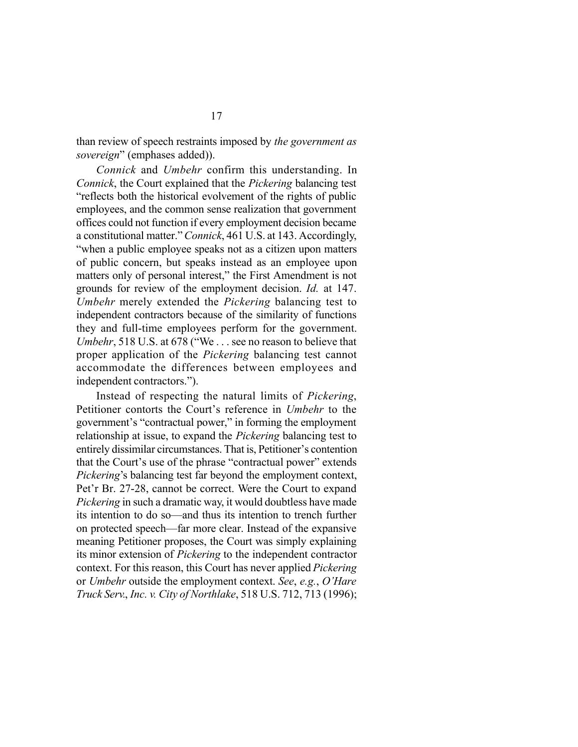than review of speech restraints imposed by *the government as sovereign*" (emphases added)).

*Connick* and *Umbehr* confirm this understanding. In *Connick*, the Court explained that the *Pickering* balancing test "reflects both the historical evolvement of the rights of public employees, and the common sense realization that government offices could not function if every employment decision became a constitutional matter." *Connick*, 461 U.S. at 143. Accordingly, "when a public employee speaks not as a citizen upon matters of public concern, but speaks instead as an employee upon matters only of personal interest," the First Amendment is not grounds for review of the employment decision. *Id.* at 147. *Umbehr* merely extended the *Pickering* balancing test to independent contractors because of the similarity of functions they and full-time employees perform for the government. *Umbehr*, 518 U.S. at 678 ("We . . . see no reason to believe that proper application of the *Pickering* balancing test cannot accommodate the differences between employees and independent contractors.").

Instead of respecting the natural limits of *Pickering*, Petitioner contorts the Court's reference in *Umbehr* to the government's "contractual power," in forming the employment relationship at issue, to expand the *Pickering* balancing test to entirely dissimilar circumstances. That is, Petitioner's contention that the Court's use of the phrase "contractual power" extends *Pickering*'s balancing test far beyond the employment context, Pet'r Br. 27-28, cannot be correct. Were the Court to expand *Pickering* in such a dramatic way, it would doubtless have made its intention to do so—and thus its intention to trench further on protected speech—far more clear. Instead of the expansive meaning Petitioner proposes, the Court was simply explaining its minor extension of *Pickering* to the independent contractor context. For this reason, this Court has never applied *Pickering* or *Umbehr* outside the employment context. *See*, *e.g.*, *O'Hare Truck Serv.*, *Inc. v. City of Northlake*, 518 U.S. 712, 713 (1996);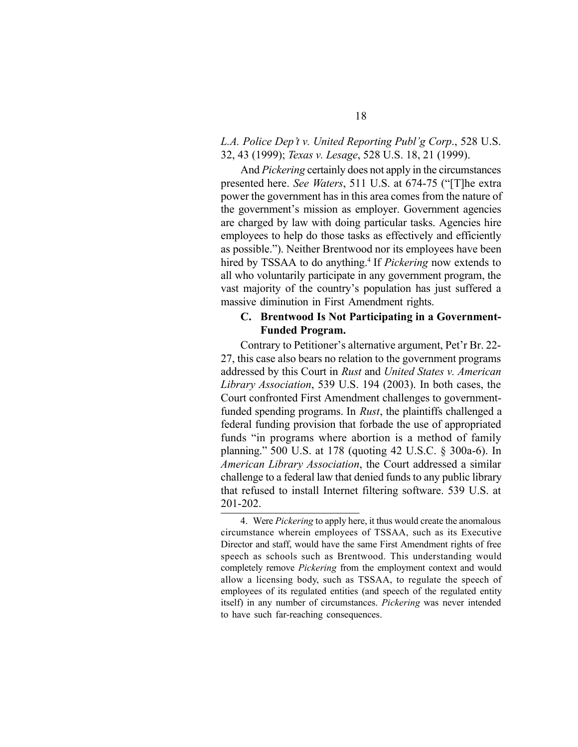### *L.A. Police Dep't v. United Reporting Publ'g Corp*., 528 U.S. 32, 43 (1999); *Texas v. Lesage*, 528 U.S. 18, 21 (1999).

And *Pickering* certainly does not apply in the circumstances presented here. *See Waters*, 511 U.S. at 674-75 ("[T]he extra power the government has in this area comes from the nature of the government's mission as employer. Government agencies are charged by law with doing particular tasks. Agencies hire employees to help do those tasks as effectively and efficiently as possible."). Neither Brentwood nor its employees have been hired by TSSAA to do anything.<sup>4</sup> If *Pickering* now extends to all who voluntarily participate in any government program, the vast majority of the country's population has just suffered a massive diminution in First Amendment rights.

#### **C. Brentwood Is Not Participating in a Government-Funded Program.**

Contrary to Petitioner's alternative argument, Pet'r Br. 22- 27, this case also bears no relation to the government programs addressed by this Court in *Rust* and *United States v. American Library Association*, 539 U.S. 194 (2003). In both cases, the Court confronted First Amendment challenges to governmentfunded spending programs. In *Rust*, the plaintiffs challenged a federal funding provision that forbade the use of appropriated funds "in programs where abortion is a method of family planning." 500 U.S. at 178 (quoting 42 U.S.C. § 300a-6). In *American Library Association*, the Court addressed a similar challenge to a federal law that denied funds to any public library that refused to install Internet filtering software. 539 U.S. at 201-202.

<sup>4.</sup> Were *Pickering* to apply here, it thus would create the anomalous circumstance wherein employees of TSSAA, such as its Executive Director and staff, would have the same First Amendment rights of free speech as schools such as Brentwood. This understanding would completely remove *Pickering* from the employment context and would allow a licensing body, such as TSSAA, to regulate the speech of employees of its regulated entities (and speech of the regulated entity itself) in any number of circumstances. *Pickering* was never intended to have such far-reaching consequences.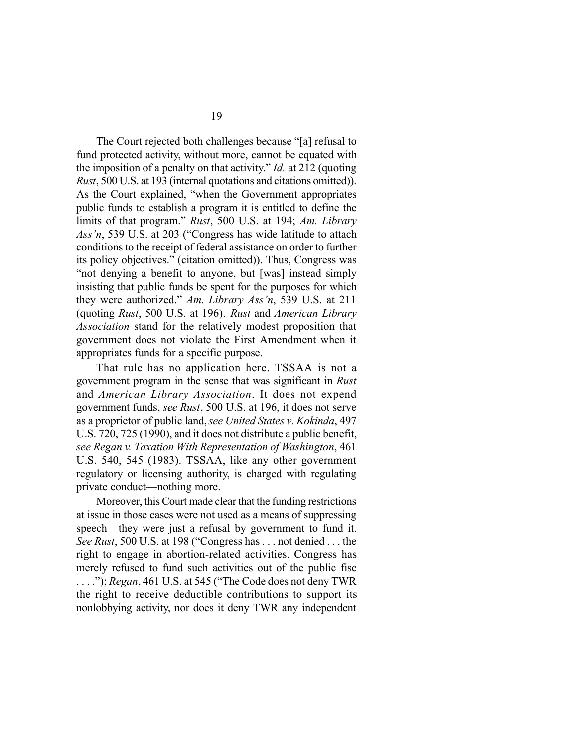The Court rejected both challenges because "[a] refusal to fund protected activity, without more, cannot be equated with the imposition of a penalty on that activity." *Id.* at 212 (quoting *Rust*, 500 U.S. at 193 (internal quotations and citations omitted)). As the Court explained, "when the Government appropriates public funds to establish a program it is entitled to define the limits of that program." *Rust*, 500 U.S. at 194; *Am. Library Ass'n*, 539 U.S. at 203 ("Congress has wide latitude to attach conditions to the receipt of federal assistance on order to further its policy objectives." (citation omitted)). Thus, Congress was "not denying a benefit to anyone, but [was] instead simply insisting that public funds be spent for the purposes for which they were authorized." *Am. Library Ass'n*, 539 U.S. at 211 (quoting *Rust*, 500 U.S. at 196). *Rust* and *American Library Association* stand for the relatively modest proposition that government does not violate the First Amendment when it appropriates funds for a specific purpose.

That rule has no application here. TSSAA is not a government program in the sense that was significant in *Rust* and *American Library Association*. It does not expend government funds, *see Rust*, 500 U.S. at 196, it does not serve as a proprietor of public land, *see United States v. Kokinda*, 497 U.S. 720, 725 (1990), and it does not distribute a public benefit, *see Regan v. Taxation With Representation of Washington*, 461 U.S. 540, 545 (1983). TSSAA, like any other government regulatory or licensing authority, is charged with regulating private conduct—nothing more.

Moreover, this Court made clear that the funding restrictions at issue in those cases were not used as a means of suppressing speech—they were just a refusal by government to fund it. *See Rust*, 500 U.S. at 198 ("Congress has . . . not denied . . . the right to engage in abortion-related activities. Congress has merely refused to fund such activities out of the public fisc . . . ."); *Regan*, 461 U.S. at 545 ("The Code does not deny TWR the right to receive deductible contributions to support its nonlobbying activity, nor does it deny TWR any independent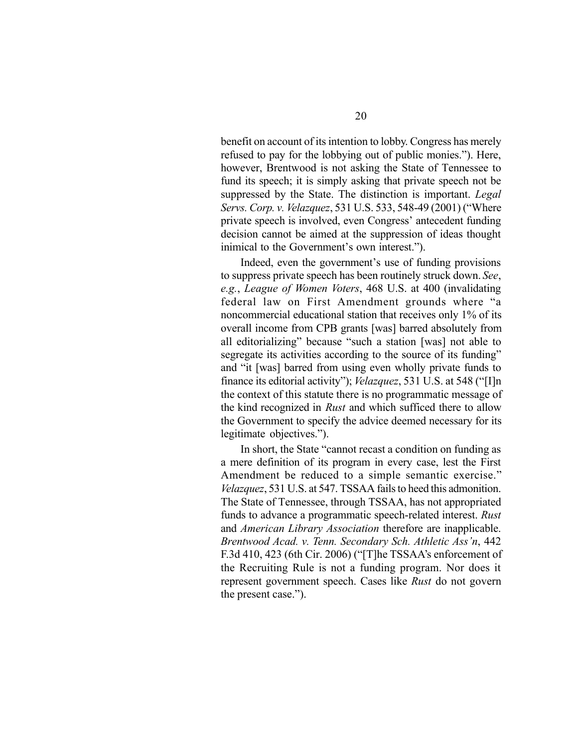benefit on account of its intention to lobby. Congress has merely refused to pay for the lobbying out of public monies."). Here, however, Brentwood is not asking the State of Tennessee to fund its speech; it is simply asking that private speech not be suppressed by the State. The distinction is important. *Legal Servs. Corp. v. Velazquez*, 531 U.S. 533, 548-49 (2001) ("Where private speech is involved, even Congress' antecedent funding decision cannot be aimed at the suppression of ideas thought inimical to the Government's own interest.").

Indeed, even the government's use of funding provisions to suppress private speech has been routinely struck down. *See*, *e.g.*, *League of Women Voters*, 468 U.S. at 400 (invalidating federal law on First Amendment grounds where "a noncommercial educational station that receives only 1% of its overall income from CPB grants [was] barred absolutely from all editorializing" because "such a station [was] not able to segregate its activities according to the source of its funding" and "it [was] barred from using even wholly private funds to finance its editorial activity"); *Velazquez*, 531 U.S. at 548 ("[I]n the context of this statute there is no programmatic message of the kind recognized in *Rust* and which sufficed there to allow the Government to specify the advice deemed necessary for its legitimate objectives.").

In short, the State "cannot recast a condition on funding as a mere definition of its program in every case, lest the First Amendment be reduced to a simple semantic exercise." *Velazquez*, 531 U.S. at 547. TSSAA fails to heed this admonition. The State of Tennessee, through TSSAA, has not appropriated funds to advance a programmatic speech-related interest. *Rust* and *American Library Association* therefore are inapplicable. *Brentwood Acad. v. Tenn. Secondary Sch. Athletic Ass'n*, 442 F.3d 410, 423 (6th Cir. 2006) ("[T]he TSSAA's enforcement of the Recruiting Rule is not a funding program. Nor does it represent government speech. Cases like *Rust* do not govern the present case.").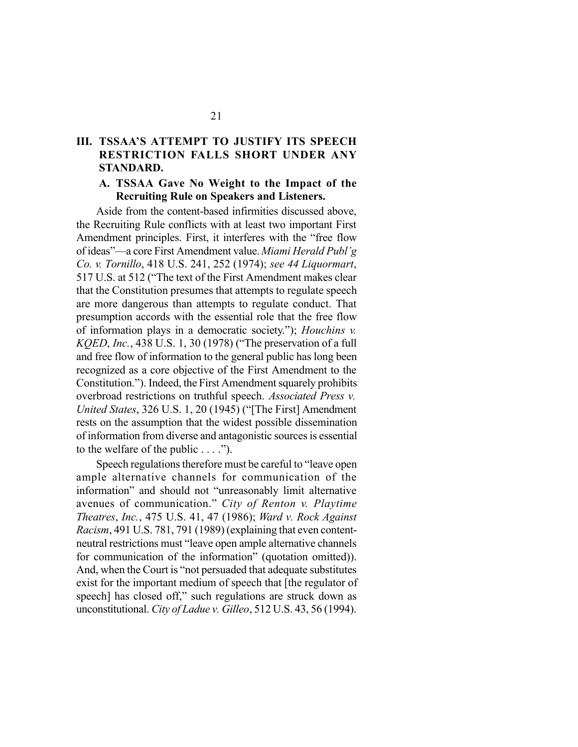## **III. TSSAA'S ATTEMPT TO JUSTIFY ITS SPEECH RESTRICTION FALLS SHORT UNDER ANY STANDARD.**

#### **A. TSSAA Gave No Weight to the Impact of the Recruiting Rule on Speakers and Listeners.**

Aside from the content-based infirmities discussed above, the Recruiting Rule conflicts with at least two important First Amendment principles. First, it interferes with the "free flow of ideas"—a core First Amendment value. *Miami Herald Publ'g Co. v. Tornillo*, 418 U.S. 241, 252 (1974); *see 44 Liquormart*, 517 U.S. at 512 ("The text of the First Amendment makes clear that the Constitution presumes that attempts to regulate speech are more dangerous than attempts to regulate conduct. That presumption accords with the essential role that the free flow of information plays in a democratic society."); *Houchins v. KQED*, *Inc.*, 438 U.S. 1, 30 (1978) ("The preservation of a full and free flow of information to the general public has long been recognized as a core objective of the First Amendment to the Constitution."). Indeed, the First Amendment squarely prohibits overbroad restrictions on truthful speech. *Associated Press v. United States*, 326 U.S. 1, 20 (1945) ("[The First] Amendment rests on the assumption that the widest possible dissemination of information from diverse and antagonistic sources is essential to the welfare of the public . . . .").

Speech regulations therefore must be careful to "leave open ample alternative channels for communication of the information" and should not "unreasonably limit alternative avenues of communication." *City of Renton v. Playtime Theatres*, *Inc.*, 475 U.S. 41, 47 (1986); *Ward v. Rock Against Racism*, 491 U.S. 781, 791 (1989) (explaining that even contentneutral restrictions must "leave open ample alternative channels for communication of the information" (quotation omitted)). And, when the Court is "not persuaded that adequate substitutes exist for the important medium of speech that [the regulator of speech] has closed off," such regulations are struck down as unconstitutional. *City of Ladue v. Gilleo*, 512 U.S. 43, 56 (1994).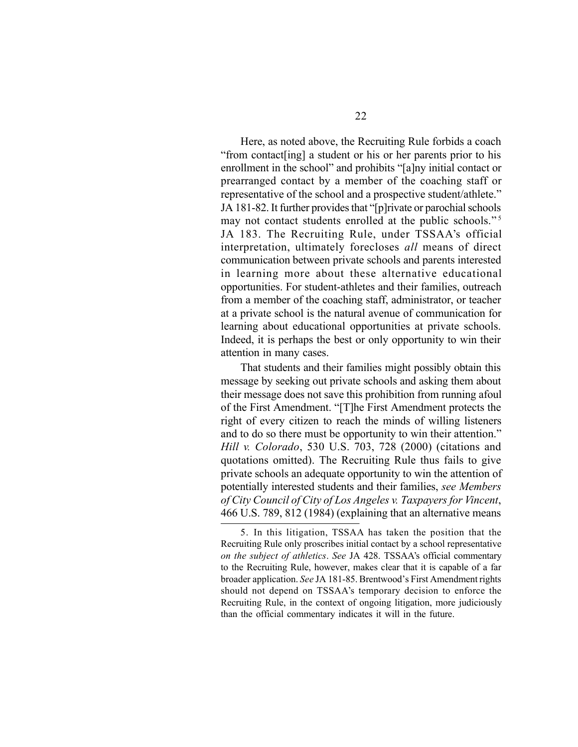Here, as noted above, the Recruiting Rule forbids a coach "from contact[ing] a student or his or her parents prior to his enrollment in the school" and prohibits "[a]ny initial contact or prearranged contact by a member of the coaching staff or representative of the school and a prospective student/athlete." JA 181-82. It further provides that "[p]rivate or parochial schools may not contact students enrolled at the public schools."<sup>5</sup> JA 183. The Recruiting Rule, under TSSAA's official interpretation, ultimately forecloses *all* means of direct communication between private schools and parents interested in learning more about these alternative educational opportunities. For student-athletes and their families, outreach from a member of the coaching staff, administrator, or teacher at a private school is the natural avenue of communication for learning about educational opportunities at private schools. Indeed, it is perhaps the best or only opportunity to win their attention in many cases.

That students and their families might possibly obtain this message by seeking out private schools and asking them about their message does not save this prohibition from running afoul of the First Amendment. "[T]he First Amendment protects the right of every citizen to reach the minds of willing listeners and to do so there must be opportunity to win their attention." *Hill v. Colorado*, 530 U.S. 703, 728 (2000) (citations and quotations omitted). The Recruiting Rule thus fails to give private schools an adequate opportunity to win the attention of potentially interested students and their families, *see Members of City Council of City of Los Angeles v. Taxpayers for Vincent*, 466 U.S. 789, 812 (1984) (explaining that an alternative means

<sup>5.</sup> In this litigation, TSSAA has taken the position that the Recruiting Rule only proscribes initial contact by a school representative *on the subject of athletics*. *See* JA 428. TSSAA's official commentary to the Recruiting Rule, however, makes clear that it is capable of a far broader application. *See* JA 181-85. Brentwood's First Amendment rights should not depend on TSSAA's temporary decision to enforce the Recruiting Rule, in the context of ongoing litigation, more judiciously than the official commentary indicates it will in the future.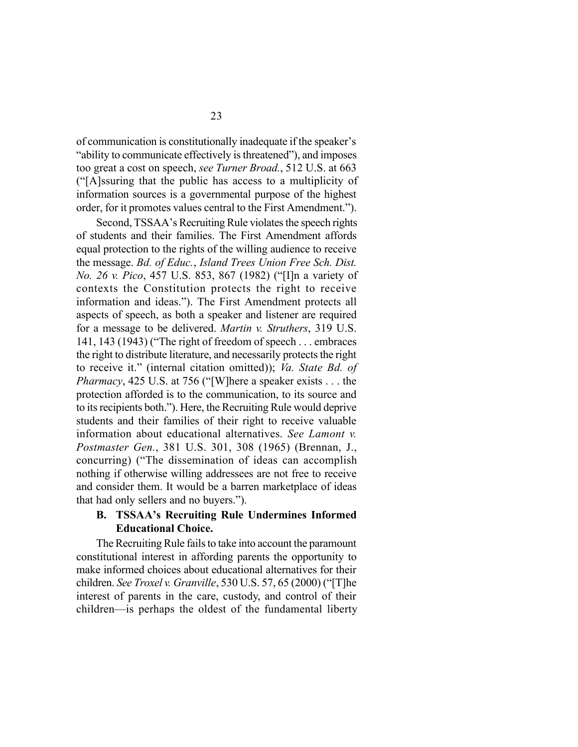of communication is constitutionally inadequate if the speaker's "ability to communicate effectively is threatened"), and imposes too great a cost on speech, *see Turner Broad.*, 512 U.S. at 663 ("[A]ssuring that the public has access to a multiplicity of information sources is a governmental purpose of the highest order, for it promotes values central to the First Amendment.").

Second, TSSAA's Recruiting Rule violates the speech rights of students and their families. The First Amendment affords equal protection to the rights of the willing audience to receive the message. *Bd. of Educ.*, *Island Trees Union Free Sch. Dist. No. 26 v. Pico*, 457 U.S. 853, 867 (1982) ("[I]n a variety of contexts the Constitution protects the right to receive information and ideas."). The First Amendment protects all aspects of speech, as both a speaker and listener are required for a message to be delivered. *Martin v. Struthers*, 319 U.S. 141, 143 (1943) ("The right of freedom of speech . . . embraces the right to distribute literature, and necessarily protects the right to receive it." (internal citation omitted)); *Va. State Bd. of Pharmacy*, 425 U.S. at 756 ("[W]here a speaker exists . . . the protection afforded is to the communication, to its source and to its recipients both."). Here, the Recruiting Rule would deprive students and their families of their right to receive valuable information about educational alternatives. *See Lamont v. Postmaster Gen.*, 381 U.S. 301, 308 (1965) (Brennan, J., concurring) ("The dissemination of ideas can accomplish nothing if otherwise willing addressees are not free to receive and consider them. It would be a barren marketplace of ideas that had only sellers and no buyers.").

#### **B. TSSAA's Recruiting Rule Undermines Informed Educational Choice.**

The Recruiting Rule fails to take into account the paramount constitutional interest in affording parents the opportunity to make informed choices about educational alternatives for their children. *See Troxel v. Granville*, 530 U.S. 57, 65 (2000) ("[T]he interest of parents in the care, custody, and control of their children—is perhaps the oldest of the fundamental liberty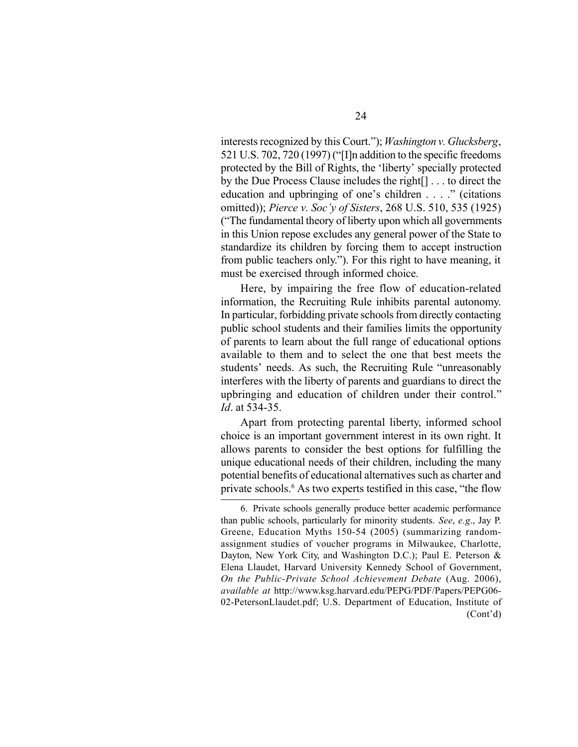interests recognized by this Court."); *Washington v. Glucksberg*, 521 U.S. 702, 720 (1997) ("[I]n addition to the specific freedoms protected by the Bill of Rights, the 'liberty' specially protected by the Due Process Clause includes the right[] . . . to direct the education and upbringing of one's children . . . ." (citations omitted)); *Pierce v. Soc'y of Sisters*, 268 U.S. 510, 535 (1925) ("The fundamental theory of liberty upon which all governments in this Union repose excludes any general power of the State to standardize its children by forcing them to accept instruction from public teachers only."). For this right to have meaning, it must be exercised through informed choice.

Here, by impairing the free flow of education-related information, the Recruiting Rule inhibits parental autonomy. In particular, forbidding private schools from directly contacting public school students and their families limits the opportunity of parents to learn about the full range of educational options available to them and to select the one that best meets the students' needs. As such, the Recruiting Rule "unreasonably interferes with the liberty of parents and guardians to direct the upbringing and education of children under their control." *Id*. at 534-35.

Apart from protecting parental liberty, informed school choice is an important government interest in its own right. It allows parents to consider the best options for fulfilling the unique educational needs of their children, including the many potential benefits of educational alternatives such as charter and private schools.<sup>6</sup> As two experts testified in this case, "the flow

<sup>6.</sup> Private schools generally produce better academic performance than public schools, particularly for minority students. *See*, *e.g*., Jay P. Greene, Education Myths 150-54 (2005) (summarizing randomassignment studies of voucher programs in Milwaukee, Charlotte, Dayton, New York City, and Washington D.C.); Paul E. Peterson & Elena Llaudet, Harvard University Kennedy School of Government, *On the Public-Private School Achievement Debate* (Aug. 2006), *available at* http://www.ksg.harvard.edu/PEPG/PDF/Papers/PEPG06- 02-PetersonLlaudet.pdf; U.S. Department of Education, Institute of (Cont'd)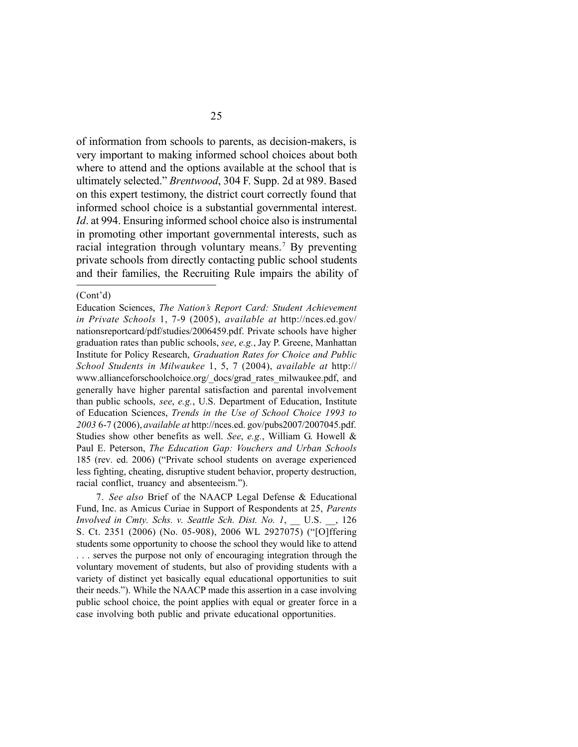of information from schools to parents, as decision-makers, is very important to making informed school choices about both where to attend and the options available at the school that is ultimately selected." *Brentwood*, 304 F. Supp. 2d at 989. Based on this expert testimony, the district court correctly found that informed school choice is a substantial governmental interest. *Id*. at 994. Ensuring informed school choice also is instrumental in promoting other important governmental interests, such as racial integration through voluntary means.<sup>7</sup> By preventing private schools from directly contacting public school students and their families, the Recruiting Rule impairs the ability of

7. *See also* Brief of the NAACP Legal Defense & Educational Fund, Inc. as Amicus Curiae in Support of Respondents at 25, *Parents Involved in Cmty. Schs. v. Seattle Sch. Dist. No. 1*, U.S. , 126 S. Ct. 2351 (2006) (No. 05-908), 2006 WL 2927075) ("[O]ffering students some opportunity to choose the school they would like to attend . . . serves the purpose not only of encouraging integration through the voluntary movement of students, but also of providing students with a variety of distinct yet basically equal educational opportunities to suit their needs."). While the NAACP made this assertion in a case involving public school choice, the point applies with equal or greater force in a case involving both public and private educational opportunities.

<sup>(</sup>Cont'd)

Education Sciences, *The Nation's Report Card: Student Achievement in Private Schools* 1, 7-9 (2005), *available at* http://nces.ed.gov/ nationsreportcard/pdf/studies/2006459.pdf. Private schools have higher graduation rates than public schools, *see*, *e.g.*, Jay P. Greene, Manhattan Institute for Policy Research, *Graduation Rates for Choice and Public School Students in Milwaukee* 1, 5, 7 (2004), *available at* http:// www.allianceforschoolchoice.org/\_docs/grad\_rates\_milwaukee.pdf, and generally have higher parental satisfaction and parental involvement than public schools, *see*, *e.g.*, U.S. Department of Education, Institute of Education Sciences, *Trends in the Use of School Choice 1993 to 2003* 6-7 (2006), *available at* http://nces.ed. gov/pubs2007/2007045.pdf. Studies show other benefits as well. *See*, *e.g.*, William G. Howell & Paul E. Peterson, *The Education Gap: Vouchers and Urban Schools* 185 (rev. ed. 2006) ("Private school students on average experienced less fighting, cheating, disruptive student behavior, property destruction, racial conflict, truancy and absenteeism.").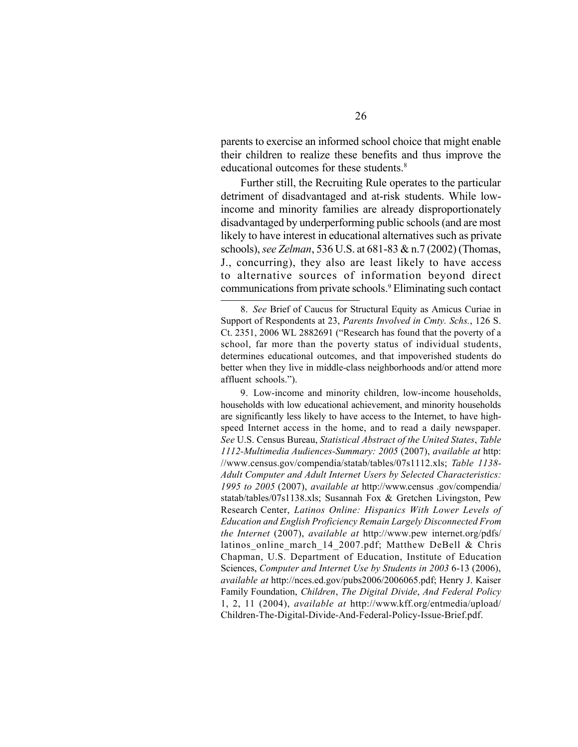parents to exercise an informed school choice that might enable their children to realize these benefits and thus improve the educational outcomes for these students.<sup>8</sup>

Further still, the Recruiting Rule operates to the particular detriment of disadvantaged and at-risk students. While lowincome and minority families are already disproportionately disadvantaged by underperforming public schools (and are most likely to have interest in educational alternatives such as private schools), *see Zelman*, 536 U.S. at 681-83 & n.7 (2002) (Thomas, J., concurring), they also are least likely to have access to alternative sources of information beyond direct communications from private schools.<sup>9</sup> Eliminating such contact

9. Low-income and minority children, low-income households, households with low educational achievement, and minority households are significantly less likely to have access to the Internet, to have highspeed Internet access in the home, and to read a daily newspaper. *See* U.S. Census Bureau, *Statistical Abstract of the United States*, *Table 1112-Multimedia Audiences-Summary: 2005* (2007), *available at* http: //www.census.gov/compendia/statab/tables/07s1112.xls; *Table 1138- Adult Computer and Adult Internet Users by Selected Characteristics: 1995 to 2005* (2007), *available at* http://www.census .gov/compendia/ statab/tables/07s1138.xls; Susannah Fox & Gretchen Livingston, Pew Research Center, *Latinos Online: Hispanics With Lower Levels of Education and English Proficiency Remain Largely Disconnected From the Internet* (2007), *available at* http://www.pew internet.org/pdfs/ latinos online march 14 2007.pdf; Matthew DeBell & Chris Chapman, U.S. Department of Education, Institute of Education Sciences, *Computer and Internet Use by Students in 2003* 6-13 (2006), *available at* http://nces.ed.gov/pubs2006/2006065.pdf; Henry J. Kaiser Family Foundation, *Children*, *The Digital Divide*, *And Federal Policy* 1, 2, 11 (2004), *available at* http://www.kff.org/entmedia/upload/ Children-The-Digital-Divide-And-Federal-Policy-Issue-Brief.pdf.

<sup>8.</sup> *See* Brief of Caucus for Structural Equity as Amicus Curiae in Support of Respondents at 23, *Parents Involved in Cmty. Schs.*, 126 S. Ct. 2351, 2006 WL 2882691 ("Research has found that the poverty of a school, far more than the poverty status of individual students, determines educational outcomes, and that impoverished students do better when they live in middle-class neighborhoods and/or attend more affluent schools.").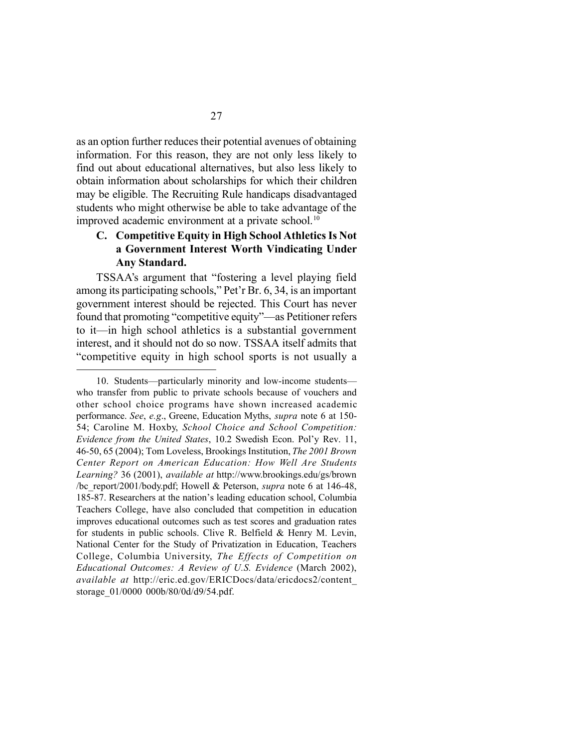as an option further reduces their potential avenues of obtaining information. For this reason, they are not only less likely to find out about educational alternatives, but also less likely to obtain information about scholarships for which their children may be eligible. The Recruiting Rule handicaps disadvantaged students who might otherwise be able to take advantage of the improved academic environment at a private school.<sup>10</sup>

### **C. Competitive Equity in High School Athletics Is Not a Government Interest Worth Vindicating Under Any Standard.**

TSSAA's argument that "fostering a level playing field among its participating schools," Pet'r Br. 6, 34, is an important government interest should be rejected. This Court has never found that promoting "competitive equity"—as Petitioner refers to it—in high school athletics is a substantial government interest, and it should not do so now. TSSAA itself admits that "competitive equity in high school sports is not usually a

<sup>10.</sup> Students—particularly minority and low-income students who transfer from public to private schools because of vouchers and other school choice programs have shown increased academic performance. *See*, *e.g*., Greene, Education Myths, *supra* note 6 at 150- 54; Caroline M. Hoxby, *School Choice and School Competition: Evidence from the United States*, 10.2 Swedish Econ. Pol'y Rev. 11, 46-50, 65 (2004); Tom Loveless, Brookings Institution, *The 2001 Brown Center Report on American Education: How Well Are Students Learning?* 36 (2001), *available at* http://www.brookings.edu/gs/brown /bc\_report/2001/body.pdf; Howell & Peterson, *supra* note 6 at 146-48, 185-87. Researchers at the nation's leading education school, Columbia Teachers College, have also concluded that competition in education improves educational outcomes such as test scores and graduation rates for students in public schools. Clive R. Belfield & Henry M. Levin, National Center for the Study of Privatization in Education, Teachers College, Columbia University, *The Effects of Competition on Educational Outcomes: A Review of U.S. Evidence* (March 2002), *available at* http://eric.ed.gov/ERICDocs/data/ericdocs2/content\_ storage\_01/0000 000b/80/0d/d9/54.pdf.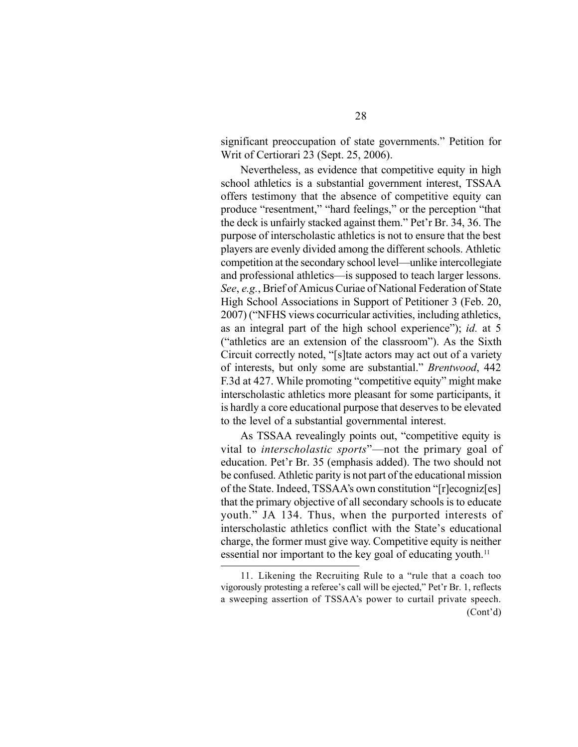significant preoccupation of state governments." Petition for Writ of Certiorari 23 (Sept. 25, 2006).

Nevertheless, as evidence that competitive equity in high school athletics is a substantial government interest, TSSAA offers testimony that the absence of competitive equity can produce "resentment," "hard feelings," or the perception "that the deck is unfairly stacked against them." Pet'r Br. 34, 36. The purpose of interscholastic athletics is not to ensure that the best players are evenly divided among the different schools. Athletic competition at the secondary school level—unlike intercollegiate and professional athletics—is supposed to teach larger lessons. *See*, *e.g.*, Brief of Amicus Curiae of National Federation of State High School Associations in Support of Petitioner 3 (Feb. 20, 2007) ("NFHS views cocurricular activities, including athletics, as an integral part of the high school experience"); *id.* at 5 ("athletics are an extension of the classroom"). As the Sixth Circuit correctly noted, "[s]tate actors may act out of a variety of interests, but only some are substantial." *Brentwood*, 442 F.3d at 427. While promoting "competitive equity" might make interscholastic athletics more pleasant for some participants, it is hardly a core educational purpose that deserves to be elevated to the level of a substantial governmental interest.

As TSSAA revealingly points out, "competitive equity is vital to *interscholastic sports*"—not the primary goal of education. Pet'r Br. 35 (emphasis added). The two should not be confused. Athletic parity is not part of the educational mission of the State. Indeed, TSSAA's own constitution "[r]ecogniz[es] that the primary objective of all secondary schools is to educate youth." JA 134. Thus, when the purported interests of interscholastic athletics conflict with the State's educational charge, the former must give way. Competitive equity is neither essential nor important to the key goal of educating youth.<sup>11</sup>

<sup>11.</sup> Likening the Recruiting Rule to a "rule that a coach too vigorously protesting a referee's call will be ejected," Pet'r Br. 1, reflects a sweeping assertion of TSSAA's power to curtail private speech. (Cont'd)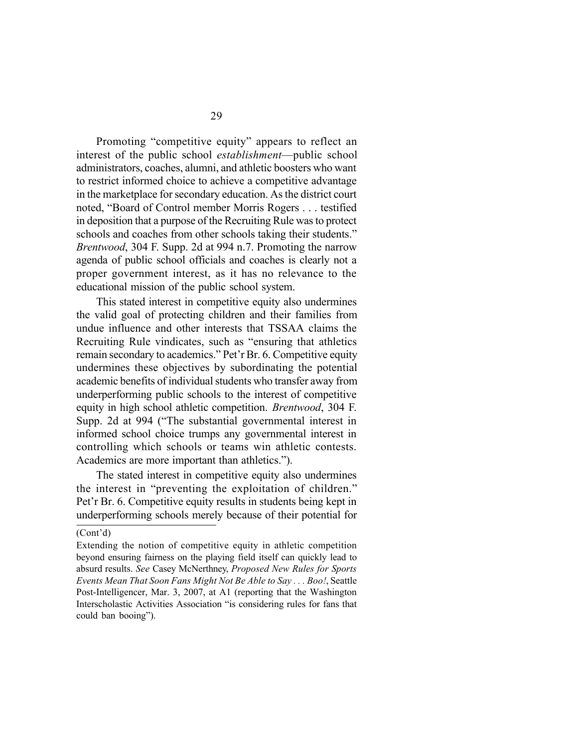Promoting "competitive equity" appears to reflect an interest of the public school *establishment*—public school administrators, coaches, alumni, and athletic boosters who want to restrict informed choice to achieve a competitive advantage in the marketplace for secondary education. As the district court noted, "Board of Control member Morris Rogers . . . testified in deposition that a purpose of the Recruiting Rule was to protect schools and coaches from other schools taking their students." *Brentwood*, 304 F. Supp. 2d at 994 n.7. Promoting the narrow agenda of public school officials and coaches is clearly not a proper government interest, as it has no relevance to the educational mission of the public school system.

This stated interest in competitive equity also undermines the valid goal of protecting children and their families from undue influence and other interests that TSSAA claims the Recruiting Rule vindicates, such as "ensuring that athletics remain secondary to academics." Pet'r Br. 6. Competitive equity undermines these objectives by subordinating the potential academic benefits of individual students who transfer away from underperforming public schools to the interest of competitive equity in high school athletic competition. *Brentwood*, 304 F. Supp. 2d at 994 ("The substantial governmental interest in informed school choice trumps any governmental interest in controlling which schools or teams win athletic contests. Academics are more important than athletics.").

The stated interest in competitive equity also undermines the interest in "preventing the exploitation of children." Pet'r Br. 6. Competitive equity results in students being kept in underperforming schools merely because of their potential for

<sup>(</sup>Cont'd)

Extending the notion of competitive equity in athletic competition beyond ensuring fairness on the playing field itself can quickly lead to absurd results. *See* Casey McNerthney, *Proposed New Rules for Sports Events Mean That Soon Fans Might Not Be Able to Say . . . Boo!*, Seattle Post-Intelligencer, Mar. 3, 2007, at A1 (reporting that the Washington Interscholastic Activities Association "is considering rules for fans that could ban booing").